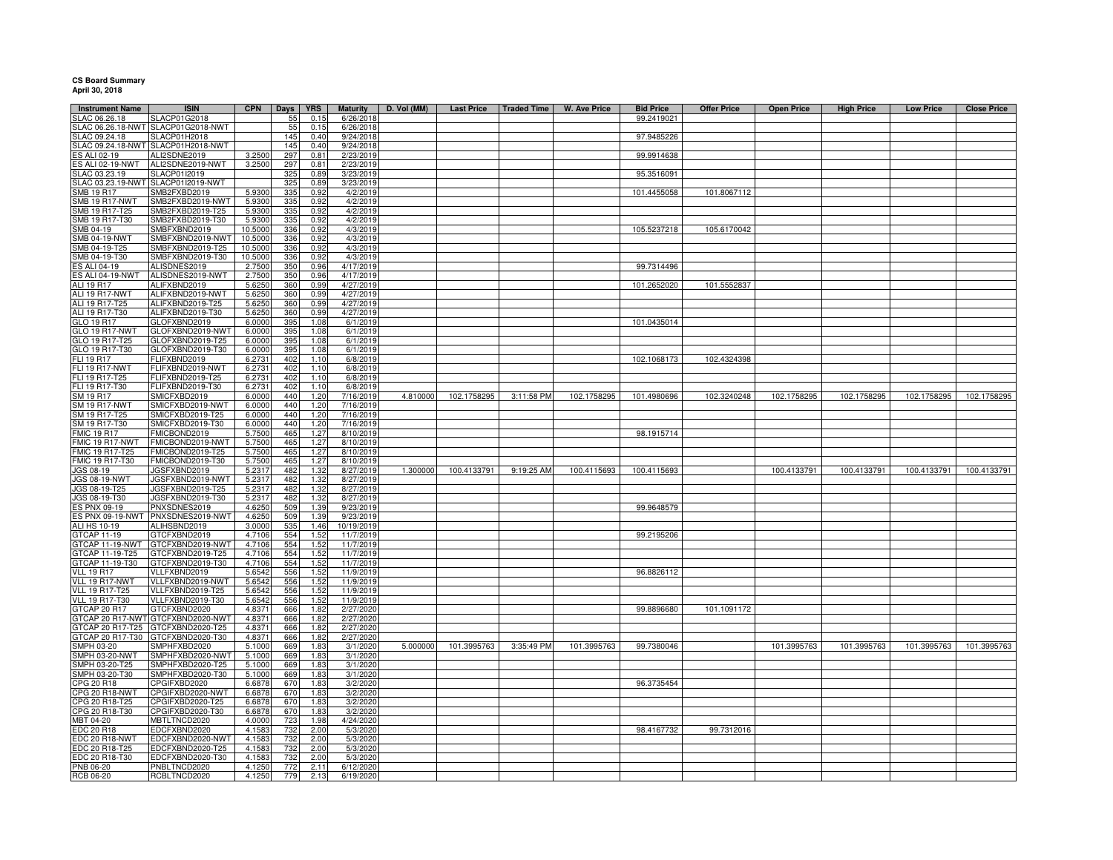## **CS Board Summary April 30, 2018**

| <b>Instrument Name</b>                | <b>ISIN</b>                          | <b>CPN</b>        | Days       | <b>YRS</b>   | <b>Maturity</b>         | D. Vol (MM) | <b>Last Price</b> | <b>Traded Time</b> | <b>W. Ave Price</b> | <b>Bid Price</b> | <b>Offer Price</b> | <b>Open Price</b> | <b>High Price</b> | <b>Low Price</b> | <b>Close Price</b> |
|---------------------------------------|--------------------------------------|-------------------|------------|--------------|-------------------------|-------------|-------------------|--------------------|---------------------|------------------|--------------------|-------------------|-------------------|------------------|--------------------|
| LAC 06.26.18                          | <b>SLACP01G2018</b>                  |                   | 55         | 0.15         | 6/26/201                |             |                   |                    |                     | 99.2419021       |                    |                   |                   |                  |                    |
| LAC 06.26.18-NWT                      | SLACP01G2018-NWT                     |                   | 55         | 0.15         | 6/26/201                |             |                   |                    |                     |                  |                    |                   |                   |                  |                    |
| LAC 09.24.18                          | SLACP01H2018                         |                   | 145        | 0.40         | 9/24/2018               |             |                   |                    |                     | 97.9485226       |                    |                   |                   |                  |                    |
|                                       | SLAC 09.24.18-NWT SLACP01H2018-NWT   |                   | 145        | 0.40         | 9/24/2018               |             |                   |                    |                     |                  |                    |                   |                   |                  |                    |
| S ALI 02-19                           | ALI2SDNE2019                         | 3.2500            | 297        | 0.81         | 2/23/2019               |             |                   |                    |                     | 99.9914638       |                    |                   |                   |                  |                    |
| ES ALI 02-19-NWT                      | ALI2SDNE2019-NWT                     | 3.2500            | 297        | 0.81         | 2/23/2019               |             |                   |                    |                     |                  |                    |                   |                   |                  |                    |
| SLAC 03.23.19                         | SLACP01I2019                         |                   | 325        | 0.89         | 3/23/2019               |             |                   |                    |                     | 95.3516091       |                    |                   |                   |                  |                    |
|                                       | SLAC 03.23.19-NWT SLACP01I2019-NWT   |                   | 325        | 0.89         | 3/23/2019               |             |                   |                    |                     |                  |                    |                   |                   |                  |                    |
| SMB 19 R17                            | SMB2FXBD2019                         | 5.9300            | 335        | 0.92         | 4/2/2019                |             |                   |                    |                     | 101.4455058      | 101.8067112        |                   |                   |                  |                    |
| SMB 19 R17-NWT                        | SMB2FXBD2019-NWT                     | 5.9300            | 335        | 0.92         | 4/2/2019                |             |                   |                    |                     |                  |                    |                   |                   |                  |                    |
| SMB 19 R17-T25<br>SMB 19 R17-T30      | SMB2FXBD2019-T25                     | 5.9300            | 335        | 0.92         | 4/2/2019                |             |                   |                    |                     |                  |                    |                   |                   |                  |                    |
| SMB 04-19                             | SMB2FXBD2019-T30<br>SMBFXBND2019     | 5.9300<br>10.5000 | 335<br>336 | 0.92<br>0.92 | 4/2/2019<br>4/3/2019    |             |                   |                    |                     | 105.5237218      | 105.6170042        |                   |                   |                  |                    |
| SMB 04-19-NWT                         | SMBFXBND2019-NWT                     | 10.5000           | 336        | 0.92         | 4/3/2019                |             |                   |                    |                     |                  |                    |                   |                   |                  |                    |
| SMB 04-19-T25                         | SMBFXBND2019-T25                     | 10.5000           | 336        | 0.92         | 4/3/2019                |             |                   |                    |                     |                  |                    |                   |                   |                  |                    |
| SMB 04-19-T30                         | SMBFXBND2019-T30                     | 10.5000           | 336        | 0.92         | 4/3/2019                |             |                   |                    |                     |                  |                    |                   |                   |                  |                    |
| ES ALI 04-19                          | ALISDNES2019                         | 2.7500            | 350        | 0.96         | 4/17/2019               |             |                   |                    |                     | 99.7314496       |                    |                   |                   |                  |                    |
| <b>ES ALI 04-19-NWT</b>               | ALISDNES2019-NWT                     | 2.7500            | 350        | 0.96         | 4/17/2019               |             |                   |                    |                     |                  |                    |                   |                   |                  |                    |
| ALI 19 R17                            | ALIFXBND2019                         | 5.6250            | 360        | 0.99         | 4/27/2019               |             |                   |                    |                     | 101.2652020      | 101.5552837        |                   |                   |                  |                    |
| ALI 19 R17-NWT                        | ALIFXBND2019-NWT                     | 5.6250            | 360        | 0.99         | 4/27/2019               |             |                   |                    |                     |                  |                    |                   |                   |                  |                    |
| ALI 19 R17-T25                        | ALIFXBND2019-T25                     | 5.6250            | 360        | 0.99         | 4/27/2019               |             |                   |                    |                     |                  |                    |                   |                   |                  |                    |
| ALI 19 R17-T30<br>GLO 19 R17          | ALIFXBND2019-T30<br>GLOFXBND2019     | 5.6250<br>6.0000  | 360<br>395 | 0.99<br>1.08 | 4/27/2019<br>6/1/2019   |             |                   |                    |                     | 101.0435014      |                    |                   |                   |                  |                    |
| GLO 19 R17-NWT                        | GLOFXBND2019-NWT                     | 6.0000            | 395        | 1.08         | 6/1/2019                |             |                   |                    |                     |                  |                    |                   |                   |                  |                    |
| GLO 19 R17-T25                        | GLOFXBND2019-T25                     | 6.0000            | 395        | 1.08         | 6/1/2019                |             |                   |                    |                     |                  |                    |                   |                   |                  |                    |
| GLO 19 R17-T30                        | GLOFXBND2019-T30                     | 6.0000            | 395        | 1.08         | 6/1/2019                |             |                   |                    |                     |                  |                    |                   |                   |                  |                    |
| FLI 19 R17                            | <b>LIFXBND2019</b>                   | 6.2731            | 402        | 1.10         | 6/8/2019                |             |                   |                    |                     | 102.1068173      | 102.4324398        |                   |                   |                  |                    |
| FLI 19 R17-NWT                        | FLIFXBND2019-NWT                     | 6.2731            | 402        | 1.10         | 6/8/2019                |             |                   |                    |                     |                  |                    |                   |                   |                  |                    |
| FLI 19 R17-T25                        | -LIFXBND2019-T25                     | 6.2731            | 402        | 1.10         | 6/8/2019                |             |                   |                    |                     |                  |                    |                   |                   |                  |                    |
| FLI 19 R17-T30                        | -LIFXBND2019-T30                     | 6.2731            | 402        | 1.10         | 6/8/2019                |             |                   |                    |                     |                  |                    |                   |                   |                  |                    |
| SM 19 R17                             | SMICFXBD2019                         | 6.0000            | 440        | 1.20         | 7/16/2019               | 4.810000    | 102.1758295       | 3:11:58 PM         | 102.1758295         | 101.4980696      | 102.3240248        | 102.1758295       | 102.1758295       | 102.1758295      | 102.1758295        |
| <b>SM 19 R17-NWT</b>                  | SMICFXBD2019-NWT                     | 6.0000            | 440        | 1.20         | 7/16/2019               |             |                   |                    |                     |                  |                    |                   |                   |                  |                    |
| SM 19 R17-T25<br>SM 19 R17-T30        | SMICFXBD2019-T25<br>SMICFXBD2019-T30 | 6.0000<br>6.0000  | 440<br>440 | 1.20<br>1.20 | 7/16/2019<br>7/16/2019  |             |                   |                    |                     |                  |                    |                   |                   |                  |                    |
| <b>FMIC 19 R17</b>                    | FMICBOND2019                         | 5.7500            | 465        | 1.27         | 8/10/2019               |             |                   |                    |                     | 98.1915714       |                    |                   |                   |                  |                    |
| <b>FMIC 19 R17-NWT</b>                | FMICBOND2019-NWT                     | 5.7500            | 465        | 1.27         | 8/10/201                |             |                   |                    |                     |                  |                    |                   |                   |                  |                    |
| FMIC 19 R17-T25                       | FMICBOND2019-T25                     | 5.7500            | 465        | 1.27         | 8/10/2019               |             |                   |                    |                     |                  |                    |                   |                   |                  |                    |
| FMIC 19 R17-T30                       | FMICBOND2019-T30                     | 5.7500            | 465        | 1.27         | 8/10/201                |             |                   |                    |                     |                  |                    |                   |                   |                  |                    |
| JGS 08-19                             | JGSFXBND2019                         | 5.2317            | 482        | 1.32         | 8/27/2019               | 1.300000    | 100.4133791       | 9:19:25 AM         | 100.4115693         | 100.4115693      |                    | 100.4133791       | 100.4133791       | 100.4133791      | 100.4133791        |
| <b>JGS 08-19-NWT</b>                  | JGSFXBND2019-NWT                     | 5.2317            | 482        | 1.32         | 8/27/2019               |             |                   |                    |                     |                  |                    |                   |                   |                  |                    |
| JGS 08-19-T25                         | JGSFXBND2019-T25                     | 5.2317            | 482        | 1.32         | 8/27/2019               |             |                   |                    |                     |                  |                    |                   |                   |                  |                    |
| JGS 08-19-T30                         | JGSFXBND2019-T30                     | 5.2317            | 482        | 1.32         | 8/27/201                |             |                   |                    |                     |                  |                    |                   |                   |                  |                    |
| S PNX 09-19                           | PNXSDNES2019                         | 4.6250            | 509        | 1.39         | 9/23/2019               |             |                   |                    |                     | 99.9648579       |                    |                   |                   |                  |                    |
| S PNX 09-19-NWT<br>ALI HS 10-19       | PNXSDNES2019-NWT<br>ALIHSBND2019     | 4.6250<br>3.0000  | 509<br>535 | 1.39<br>1.46 | 9/23/2019<br>10/19/2019 |             |                   |                    |                     |                  |                    |                   |                   |                  |                    |
| <b>GTCAP 11-19</b>                    | GTCFXBND2019                         | 4.7106            | 554        | 1.52         | 11/7/2019               |             |                   |                    |                     | 99.2195206       |                    |                   |                   |                  |                    |
| GTCAP 11-19-NWT                       | GTCFXBND2019-NWT                     | 4.7106            | 554        | 1.52         | 11/7/2019               |             |                   |                    |                     |                  |                    |                   |                   |                  |                    |
| GTCAP 11-19-T25                       | GTCFXBND2019-T25                     | 4.7106            | 554        | 1.52         | 11/7/2019               |             |                   |                    |                     |                  |                    |                   |                   |                  |                    |
| GTCAP 11-19-T30                       | GTCFXBND2019-T30                     | 4.7106            | 554        | 1.52         | 11/7/2019               |             |                   |                    |                     |                  |                    |                   |                   |                  |                    |
| <b>VLL 19 R17</b>                     | VLLFXBND2019                         | 5.6542            | 556        | 1.52         | 11/9/2019               |             |                   |                    |                     | 96.8826112       |                    |                   |                   |                  |                    |
| VLL 19 R17-NWT                        | VLLFXBND2019-NWT                     | 5.6542            | 556        | 1.52         | 11/9/2019               |             |                   |                    |                     |                  |                    |                   |                   |                  |                    |
| <b>VLL 19 R17-T25</b>                 | VLLFXBND2019-T25                     | 5.6542            | 556        | 1.52         | 11/9/2019               |             |                   |                    |                     |                  |                    |                   |                   |                  |                    |
| <b>VLL 19 R17-T30</b><br>GTCAP 20 R17 | VLLFXBND2019-T30<br>GTCFXBND2020     | 5.6542<br>4.8371  | 556<br>666 | 1.52<br>1.82 | 11/9/2019<br>2/27/2020  |             |                   |                    |                     | 99.8896680       | 101.1091172        |                   |                   |                  |                    |
| GTCAP 20 R17-NWT                      | GTCFXBND2020-NWT                     | 4.8371            | 666        | 1.82         | 2/27/2020               |             |                   |                    |                     |                  |                    |                   |                   |                  |                    |
| GTCAP 20 R17-T25                      | TCFXBND2020-T25                      | 4.8371            | 666        | 1.82         | 2/27/2020               |             |                   |                    |                     |                  |                    |                   |                   |                  |                    |
| GTCAP 20 R17-T30                      | GTCFXBND2020-T30                     | 4.8371            | 666        | 1.82         | 2/27/2020               |             |                   |                    |                     |                  |                    |                   |                   |                  |                    |
| SMPH 03-20                            | MPHFXBD2020                          | 5.1000            | 669        | 1.83         | 3/1/2020                | 5.000000    | 101.3995763       | 3:35:49 PM         | 101.3995763         | 99.7380046       |                    | 101.3995763       | 101.3995763       | 101.3995763      | 101.3995763        |
| SMPH 03-20-NWT                        | SMPHFXBD2020-NWT                     | 5.1000            | 669        | 1.83         | 3/1/2020                |             |                   |                    |                     |                  |                    |                   |                   |                  |                    |
| SMPH 03-20-T25                        | MPHFXBD2020-T25                      | 5.1000            | 669        | 1.83         | 3/1/2020                |             |                   |                    |                     |                  |                    |                   |                   |                  |                    |
| SMPH 03-20-T30                        | MPHFXBD2020-T30                      | 5.1000            | 669        | 1.83         | 3/1/2020                |             |                   |                    |                     |                  |                    |                   |                   |                  |                    |
| CPG 20 R18<br>CPG 20 R18-NWT          | PGIFXBD2020<br>CPGIFXBD2020-NWT      | 6.6878<br>6.6878  | 670<br>670 | 1.83<br>1.83 | 3/2/2020<br>3/2/2020    |             |                   |                    |                     | 96.3735454       |                    |                   |                   |                  |                    |
| CPG 20 R18-T25                        | CPGIFXBD2020-T25                     |                   |            |              |                         |             |                   |                    |                     |                  |                    |                   |                   |                  |                    |
| CPG 20 R18-T30                        | CPGIFXBD2020-T30                     | 6.6878<br>6.6878  | 670<br>670 | 1.83<br>1.83 | 3/2/2020<br>3/2/2020    |             |                   |                    |                     |                  |                    |                   |                   |                  |                    |
| MBT 04-20                             | <b>MBTLTNCD2020</b>                  | 4.0000            | 723        | 1.98         | 4/24/2020               |             |                   |                    |                     |                  |                    |                   |                   |                  |                    |
| EDC 20 R18                            | EDCFXBND2020                         | 4.1583            | 732        | 2.00         | 5/3/2020                |             |                   |                    |                     | 98.4167732       | 99.7312016         |                   |                   |                  |                    |
| EDC 20 R18-NWT                        | EDCFXBND2020-NWT                     | 4.1583            | 732        | 2.00         | 5/3/2020                |             |                   |                    |                     |                  |                    |                   |                   |                  |                    |
| EDC 20 R18-T25                        | EDCFXBND2020-T25                     | 4.1583            | 732        | 2.00         | 5/3/2020                |             |                   |                    |                     |                  |                    |                   |                   |                  |                    |
| EDC 20 R18-T30                        | EDCFXBND2020-T30                     | 4.1583            | 732        | 2.00         | 5/3/2020                |             |                   |                    |                     |                  |                    |                   |                   |                  |                    |
| PNB 06-20                             | PNBLTNCD2020                         | 4.1250            | 772        | 2.11         | 6/12/2020               |             |                   |                    |                     |                  |                    |                   |                   |                  |                    |
| RCB 06-20                             | RCBLTNCD2020                         | 4.1250            | 779        | 2.13         | 6/19/2020               |             |                   |                    |                     |                  |                    |                   |                   |                  |                    |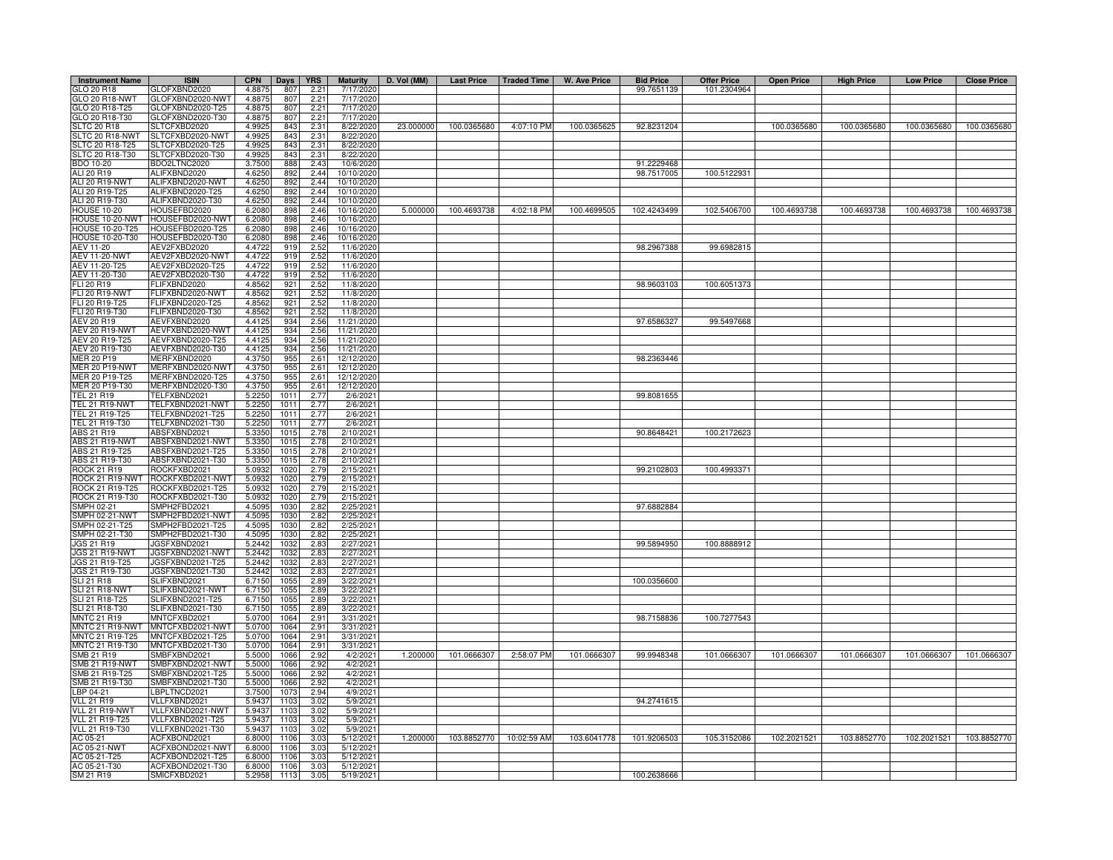| <b>Instrument Name</b>                  | <b>ISIN</b>                          | <b>CPN</b>       | Days         | <b>YRS</b>   | <b>Maturity</b>          | D. Vol (MM) | Last Price   Traded Time |                         | W. Ave Price | <b>Bid Price</b> | <b>Offer Price</b> | <b>Open Price</b> | <b>High Price</b> | <b>Low Price</b> | <b>Close Price</b>      |
|-----------------------------------------|--------------------------------------|------------------|--------------|--------------|--------------------------|-------------|--------------------------|-------------------------|--------------|------------------|--------------------|-------------------|-------------------|------------------|-------------------------|
| GLO 20 R18                              | GLOFXBND2020                         | 4.8875           | 807          | 2.21         | 7/17/2020                |             |                          |                         |              | 99.7651139       | 101.2304964        |                   |                   |                  |                         |
| GLO 20 R18-NWT                          | GLOFXBND2020-NWT                     | 4.8875           | 807          | 2.21         | 7/17/2020                |             |                          |                         |              |                  |                    |                   |                   |                  |                         |
| GLO 20 R18-T25                          | GLOFXBND2020-T25                     | 4.8875           | 807          | 2.21         | 7/17/2020                |             |                          |                         |              |                  |                    |                   |                   |                  |                         |
| GLO 20 R18-T30<br><b>SLTC 20 R18</b>    | GLOFXBND2020-T30<br>SLTCFXBD2020     | 4.8875<br>4.9925 | 807<br>843   | 2.21<br>2.31 | 7/17/2020<br>8/22/2020   | 23.000000   | 100.0365680              | 4:07:10 PM              | 100.0365625  | 92.8231204       |                    | 100.0365680       | 100.0365680       | 100.0365680      | 100.0365680             |
| SLTC 20 R18-NWT                         | SLTCFXBD2020-NWT                     | 4.9925           | 843          | 2.31         | 8/22/2020                |             |                          |                         |              |                  |                    |                   |                   |                  |                         |
| <b>SLTC 20 R18-T25</b>                  | SLTCFXBD2020-T25                     | 4.9925           | 843          | 2.31         | 8/22/2020                |             |                          |                         |              |                  |                    |                   |                   |                  |                         |
| SLTC 20 R18-T30                         | SLTCFXBD2020-T30                     | 4.9925           | 843          | 2.31         | 8/22/2020                |             |                          |                         |              |                  |                    |                   |                   |                  |                         |
| <b>BDO 10-20</b>                        | BDO2LTNC2020                         | 3.7500           | 888          | 2.43         | 10/6/2020                |             |                          |                         |              | 91.2229468       |                    |                   |                   |                  |                         |
| ALI 20 R19                              | ALIFXBND2020                         | 4.6250           | 892          | 2.44         | 10/10/2020               |             |                          |                         |              | 98.7517005       | 100.5122931        |                   |                   |                  |                         |
| ALI 20 R19-NWT                          | ALIFXBND2020-NWT                     | 4.6250           | 892          | 2.44         | 10/10/2020               |             |                          |                         |              |                  |                    |                   |                   |                  |                         |
| ALI 20 R19-T25<br>ALI 20 R19-T30        | ALIFXBND2020-T25<br>ALIFXBND2020-T30 | 4.6250<br>4.6250 | 892<br>892   | 2.44<br>2.44 | 10/10/2020<br>10/10/2020 |             |                          |                         |              |                  |                    |                   |                   |                  |                         |
| <b>HOUSE 10-20</b>                      | HOUSEFBD2020                         | 6.2080           | 898          | 2.46         | 10/16/2020               | 5.000000    | 100.4693738              | 4:02:18 PM              | 100.4699505  | 102.4243499      | 102.5406700        | 100.4693738       | 100.4693738       |                  | 100.4693738 100.4693738 |
| HOUSE 10-20-NWT                         | HOUSEFBD2020-NWT                     | 6.2080           | 898          | 2.46         | 10/16/2020               |             |                          |                         |              |                  |                    |                   |                   |                  |                         |
| HOUSE 10-20-T25                         | OUSEFBD2020-T25                      | 6.2080           | 898          | 2.46         | 10/16/2020               |             |                          |                         |              |                  |                    |                   |                   |                  |                         |
| HOUSE 10-20-T30                         | HOUSEFBD2020-T30                     | 6.2080           | 898          | 2.46         | 10/16/2020               |             |                          |                         |              |                  |                    |                   |                   |                  |                         |
| AEV 11-20                               | AEV2FXBD2020                         | 4.4722           | 915          | 2.52         | 11/6/2020                |             |                          |                         |              | 98.2967388       | 99.6982815         |                   |                   |                  |                         |
| <b>AEV 11-20-NWT</b>                    | AEV2FXBD2020-NWT                     | 4.4722           | 915          | 2.52         | 11/6/202                 |             |                          |                         |              |                  |                    |                   |                   |                  |                         |
| AEV 11-20-T25                           | AEV2FXBD2020-T25                     | 4.4722           | 919          | 2.52         | 11/6/2020                |             |                          |                         |              |                  |                    |                   |                   |                  |                         |
| AEV 11-20-T30                           | AEV2FXBD2020-T30                     | 4.4722           | 919          | 2.52         | 11/6/2020                |             |                          |                         |              |                  |                    |                   |                   |                  |                         |
| FLI 20 R19                              | <b>LIFXBND2020</b>                   | 4.8562           | 921          | 2.52         | 11/8/202                 |             |                          |                         |              | 98.9603103       | 100.6051373        |                   |                   |                  |                         |
| FLI 20 R19-NWT<br>FLI 20 R19-T25        | LIFXBND2020-NWT<br>LIFXBND2020-T25   | 4.8562<br>4.8562 | 921<br>921   | 2.52<br>2.52 | 11/8/2020<br>11/8/202    |             |                          |                         |              |                  |                    |                   |                   |                  |                         |
| FLI 20 R19-T30                          | FLIFXBND2020-T30                     | 4.8562           | 921          | 2.52         | 11/8/2020                |             |                          |                         |              |                  |                    |                   |                   |                  |                         |
| AEV 20 R19                              | AEVFXBND2020                         | 4.4125           | 934          | 2.56         | 11/21/2020               |             |                          |                         |              | 97.6586327       | 99.5497668         |                   |                   |                  |                         |
| AEV 20 R19-NWT                          | AEVFXBND2020-NWT                     | 4.4125           | 934          | 2.56         | 11/21/202                |             |                          |                         |              |                  |                    |                   |                   |                  |                         |
| AEV 20 R19-T25                          | AEVFXBND2020-T25                     | 4.4125           | 934          | 2.56         | 11/21/2020               |             |                          |                         |              |                  |                    |                   |                   |                  |                         |
| AEV 20 R19-T30                          | AEVFXBND2020-T30                     | 4.4125           | 934          | 2.56         | 11/21/2020               |             |                          |                         |              |                  |                    |                   |                   |                  |                         |
| <b>MER 20 P19</b>                       | MERFXBND2020                         | 4.3750           | 955          | 2.61         | 12/12/2020               |             |                          |                         |              | 98.2363446       |                    |                   |                   |                  |                         |
| <b>MER 20 P19-NWT</b>                   | MERFXBND2020-NWT                     | 4.3750           | 955          | 2.61         | 12/12/2020               |             |                          |                         |              |                  |                    |                   |                   |                  |                         |
| MER 20 P19-T25                          | MERFXBND2020-T25                     | 4.3750           | 955          | 2.61         | 12/12/2020               |             |                          |                         |              |                  |                    |                   |                   |                  |                         |
| MER 20 P19-T30                          | MERFXBND2020-T30                     | 4.3750           | 955          | 2.61         | 12/12/2020               |             |                          |                         |              |                  |                    |                   |                   |                  |                         |
| <b>TEL 21 R19</b>                       | FELFXBND2021                         | 5.2250           | 1011         | 2.77         | 2/6/2021                 |             |                          |                         |              | 99.8081655       |                    |                   |                   |                  |                         |
| TEL 21 R19-NWT                          | ELFXBND2021-NWT                      | 5.2250           | 1011         | 2.77         | 2/6/2021                 |             |                          |                         |              |                  |                    |                   |                   |                  |                         |
| TEL 21 R19-T25<br>TEL 21 R19-T30        | ELFXBND2021-T25<br>TELFXBND2021-T30  | 5.2250<br>5.225  | 1011<br>1011 | 2.77<br>2.77 | 2/6/2021<br>2/6/202      |             |                          |                         |              |                  |                    |                   |                   |                  |                         |
| ABS 21 R19                              | ABSFXBND2021                         | 5.3350           | 1015         | 2.78         | 2/10/2021                |             |                          |                         |              | 90.8648421       | 100.2172623        |                   |                   |                  |                         |
| ABS 21 R19-NWT                          | ABSFXBND2021-NWT                     | 5.3350           | 1015         | 2.78         | 2/10/2021                |             |                          |                         |              |                  |                    |                   |                   |                  |                         |
| ABS 21 R19-T25                          | ABSFXBND2021-T25                     | 5.3350           | 1015         | 2.78         | 2/10/2021                |             |                          |                         |              |                  |                    |                   |                   |                  |                         |
| ABS 21 R19-T30                          | ABSFXBND2021-T30                     | 5.3350           | 1015         | 2.78         | 2/10/2021                |             |                          |                         |              |                  |                    |                   |                   |                  |                         |
| <b>ROCK 21 R19</b>                      | ROCKFXBD2021                         | 5.0932           | 1020         | 2.79         | 2/15/2021                |             |                          |                         |              | 99.2102803       | 100.4993371        |                   |                   |                  |                         |
| ROCK 21 R19-NWT                         | ROCKFXBD2021-NWT                     | 5.0932           | 1020         | 2.79         | 2/15/202                 |             |                          |                         |              |                  |                    |                   |                   |                  |                         |
| ROCK 21 R19-T25                         | ROCKFXBD2021-T25                     | 5.0932           | 1020         | 2.79         | 2/15/202                 |             |                          |                         |              |                  |                    |                   |                   |                  |                         |
| ROCK 21 R19-T30                         | ROCKFXBD2021-T30                     | 5.0932           | 1020         | 2.79         | 2/15/202                 |             |                          |                         |              |                  |                    |                   |                   |                  |                         |
| SMPH 02-21                              | SMPH2FBD2021                         | 4.5095           | 1030         | 2.82         | 2/25/2021                |             |                          |                         |              | 97.6882884       |                    |                   |                   |                  |                         |
| SMPH 02-21-NWT<br>SMPH 02-21-T25        | MPH2FBD2021-NWT<br>MPH2FBD2021-T25   | 4.5095<br>4.5095 | 1030<br>1030 | 2.82<br>2.82 | 2/25/2021<br>2/25/202    |             |                          |                         |              |                  |                    |                   |                   |                  |                         |
| MPH 02-21-T30                           | MPH2FBD2021-T30                      | 4.5095           | 1030         | 2.82         | 2/25/202                 |             |                          |                         |              |                  |                    |                   |                   |                  |                         |
| JGS 21 R19                              | JGSFXBND2021                         | 5.2442           | 1032         | 2.83         | 2/27/2021                |             |                          |                         |              | 99.5894950       | 100.8888912        |                   |                   |                  |                         |
| <b>JGS 21 R19-NWT</b>                   | JGSFXBND2021-NWT                     | 5.2442           | 1032         | 2.83         | 2/27/2021                |             |                          |                         |              |                  |                    |                   |                   |                  |                         |
| JGS 21 R19-T25                          | JGSFXBND2021-T25                     | 5.2442           | 1032         | 2.83         | 2/27/2021                |             |                          |                         |              |                  |                    |                   |                   |                  |                         |
| JGS 21 R19-T30                          | JGSFXBND2021-T30                     | 5.2442           | 1032         | 2.83         | 2/27/2021                |             |                          |                         |              |                  |                    |                   |                   |                  |                         |
| <b>SLI 21 R18</b>                       | SLIFXBND2021                         | 6.7150           | 1055         | 2.89         | 3/22/2021                |             |                          |                         |              | 100.0356600      |                    |                   |                   |                  |                         |
| SLI 21 R18-NWT                          | SLIFXBND2021-NWT                     | 6.7150           | 1055         | 2.89         | 3/22/2021                |             |                          |                         |              |                  |                    |                   |                   |                  |                         |
| SLI 21 R18-T25                          | SLIFXBND2021-T25                     | 6.7150           | 1055         | 2.89         | 3/22/2021                |             |                          |                         |              |                  |                    |                   |                   |                  |                         |
| SLI 21 R18-T30<br><b>MNTC 21 R19</b>    | SLIFXBND2021-T30<br>MNTCFXBD2021     | 6.7150<br>5.0700 | 1055<br>1064 | 2.89<br>2.91 | 3/22/2021<br>3/31/2021   |             |                          |                         |              | 98.7158836       | 100.7277543        |                   |                   |                  |                         |
| MNTC 21 R19-NWT                         | MNTCFXBD2021-NWT                     | 5.0700           | 1064         | 2.91         | 3/31/2021                |             |                          |                         |              |                  |                    |                   |                   |                  |                         |
| MNTC 21 R19-T25                         | MNTCFXBD2021-T25                     | 5.0700           | 1064         | 2.91         | 3/31/2021                |             |                          |                         |              |                  |                    |                   |                   |                  |                         |
| MNTC 21 R19-T30                         | MNTCFXBD2021-T30                     | 5.0700           | 1064         | 2.91         | 3/31/2021                |             |                          |                         |              |                  |                    |                   |                   |                  |                         |
| SMB 21 R19                              | SMBFXBND2021                         | 5.5000           | 1066         | 2.92         | 4/2/2021                 | 1.200000    | 101.0666307              | 2:58:07 PM              | 101.0666307  | 99.9948348       | 101.0666307        | 101.0666307       | 101.0666307       | 101.0666307      | 101.0666307             |
| SMB 21 R19-NWT                          | SMBFXBND2021-NWT                     | 5.5000           | 1066         | 2.92         | 4/2/2021                 |             |                          |                         |              |                  |                    |                   |                   |                  |                         |
| SMB 21 R19-T25                          | SMBFXBND2021-T25                     | 5.5000           | 1066         | 2.92         | 4/2/2021                 |             |                          |                         |              |                  |                    |                   |                   |                  |                         |
| SMB 21 R19-T30                          | SMBFXBND2021-T30                     | 5.5000           | 1066         | 2.92         | 4/2/2021                 |             |                          |                         |              |                  |                    |                   |                   |                  |                         |
| LBP 04-21                               | BPLTNCD2021                          | 3.7500           | 1073         | 2.94         | 4/9/2021                 |             |                          |                         |              |                  |                    |                   |                   |                  |                         |
| <b>VLL 21 R19</b>                       | VLLFXBND2021                         | 5.9437           | 1103         | 3.02         | 5/9/2021                 |             |                          |                         |              | 94.2741615       |                    |                   |                   |                  |                         |
| VLL 21 R19-NWT                          | VLLFXBND2021-NWT                     | 5.9437           | 1103         | 3.02         | 5/9/202                  |             |                          |                         |              |                  |                    |                   |                   |                  |                         |
| <b>VLL 21 R19-T25</b><br>VLL 21 R19-T30 | VLLFXBND2021-T25<br>VLLFXBND2021-T30 | 5.9437<br>5.9437 | 110<br>1103  | 3.02<br>3.02 | 5/9/202<br>5/9/202       |             |                          |                         |              |                  |                    |                   |                   |                  |                         |
| AC 05-21                                | ACFXBOND2021                         | 6.8000           | 1106         | 3.03         | 5/12/2021                | 1.200000    |                          | 103.8852770 10:02:59 AM | 103.6041778  | 101.9206503      | 105.3152086        | 102.2021521       | 103.8852770       | 102.2021521      | 103.8852770             |
| AC 05-21-NWT                            | ACFXBOND2021-NWT                     | 6,8000           | 1106         | 3.03         | 5/12/202                 |             |                          |                         |              |                  |                    |                   |                   |                  |                         |
| AC 05-21-T25                            | ACFXBOND2021-T25                     | 6.8000           | 1106         | 3.03         | 5/12/2021                |             |                          |                         |              |                  |                    |                   |                   |                  |                         |
| AC 05-21-T30                            | ACFXBOND2021-T30                     | 6.8000           | 1106         | 3.03         | 5/12/2021                |             |                          |                         |              |                  |                    |                   |                   |                  |                         |
| SM 21 R19                               | SMICFXBD2021                         | 5.2958           | 1113         | 3.05         | 5/19/2021                |             |                          |                         |              | 100.2638666      |                    |                   |                   |                  |                         |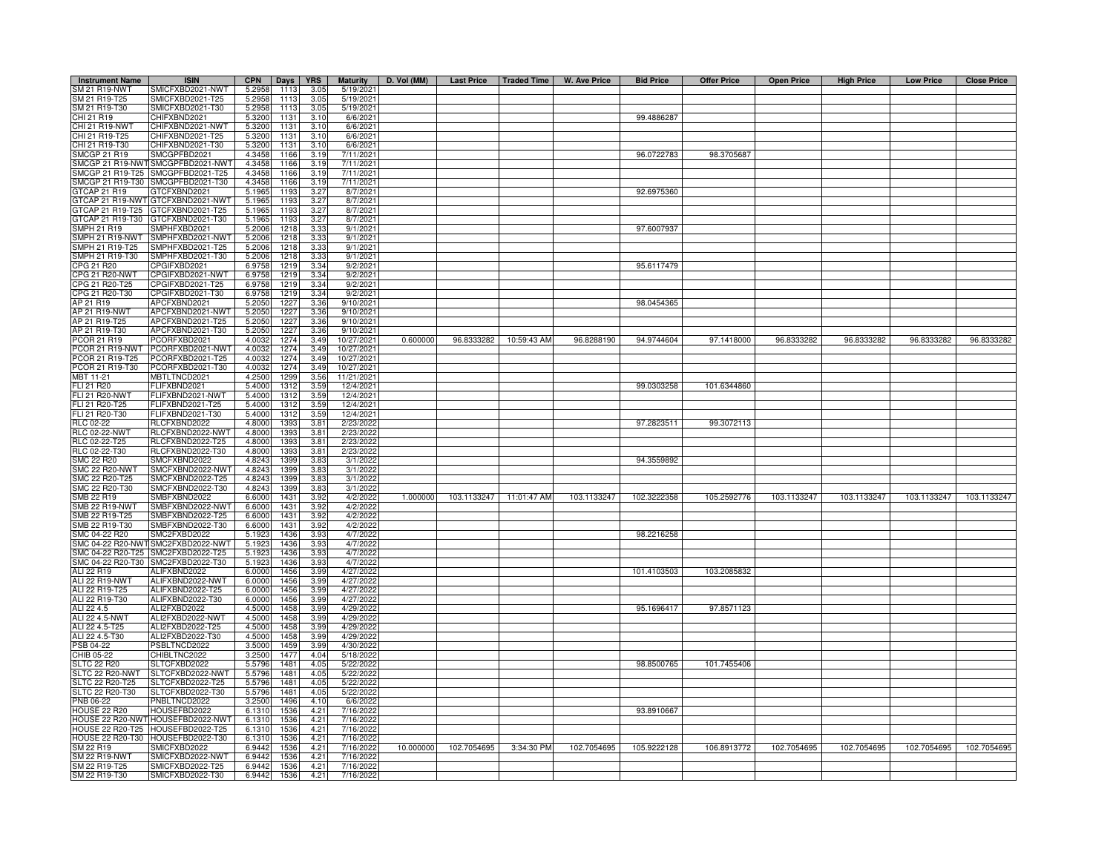| <b>Instrument Name</b>             | <b>ISIN</b>                          | <b>CPN</b>       | Days         | <b>YRS</b>               | <b>Maturity</b>        | D. Vol (MM) |             |                         | Last Price   Traded Time   W. Ave Price | <b>Bid Price</b> | <b>Offer Price</b> | <b>Open Price</b> | <b>High Price</b> | <b>Low Price</b> | <b>Close Price</b> |
|------------------------------------|--------------------------------------|------------------|--------------|--------------------------|------------------------|-------------|-------------|-------------------------|-----------------------------------------|------------------|--------------------|-------------------|-------------------|------------------|--------------------|
| SM 21 R19-NWT                      | SMICFXBD2021-NWT                     | 5.2958           | 1113         | 3.05                     | 5/19/2021              |             |             |                         |                                         |                  |                    |                   |                   |                  |                    |
| SM 21 R19-T25                      | SMICFXBD2021-T25                     | 5.2958           | 1113         | 3.05                     | 5/19/2021              |             |             |                         |                                         |                  |                    |                   |                   |                  |                    |
| SM 21 R19-T30                      | SMICFXBD2021-T30                     | 5.2958           | 1113         | 3.05                     | $\overline{5/19/2021}$ |             |             |                         |                                         |                  |                    |                   |                   |                  |                    |
| CHI 21 R19                         | CHIFXBND2021                         | 5.3200           | 1131         | 3.10                     | 6/6/2021               |             |             |                         |                                         | 99.4886287       |                    |                   |                   |                  |                    |
| CHI 21 R19-NWT                     | CHIFXBND2021-NWT                     | 5.3200           | 1131         | 3.10                     | 6/6/2021               |             |             |                         |                                         |                  |                    |                   |                   |                  |                    |
| CHI 21 R19-T25                     | CHIFXBND2021-T25                     | 5.3200           | 1131         | 3.10                     | 6/6/2021               |             |             |                         |                                         |                  |                    |                   |                   |                  |                    |
| CHI 21 R19-T30                     | CHIFXBND2021-T30                     | 5.3200           | 1131         | 3.10                     | 6/6/2021               |             |             |                         |                                         |                  |                    |                   |                   |                  |                    |
| <b>SMCGP 21 R19</b>                | SMCGPFBD2021                         | 4.3458           | 1166         | 3.19                     | 7/11/2021              |             |             |                         |                                         | 96.0722783       | 98.3705687         |                   |                   |                  |                    |
| SMCGP 21 R19-NWT                   | SMCGPFBD2021-NWT                     | 4.3458           | 1166         | 3.19                     | 7/11/2021              |             |             |                         |                                         |                  |                    |                   |                   |                  |                    |
| SMCGP 21 R19-T25                   | SMCGPFBD2021-T25                     | 4.3458           | 1166         | 3.19                     | 7/11/2021              |             |             |                         |                                         |                  |                    |                   |                   |                  |                    |
| SMCGP 21 R19-T30                   | SMCGPFBD2021-T30                     | 4.3458           | 1166         | 3.19                     | 7/11/2021              |             |             |                         |                                         |                  |                    |                   |                   |                  |                    |
| <b>TCAP 21 R19</b>                 | GTCFXBND2021                         | 5.1965           | 119          | 3.27                     | 8/7/2021               |             |             |                         |                                         | 92.6975360       |                    |                   |                   |                  |                    |
|                                    | 3TCAP 21 R19-NWT GTCFXBND2021-NWT    | 5.1965           | 1193         | 3.27                     | 8/7/2021               |             |             |                         |                                         |                  |                    |                   |                   |                  |                    |
|                                    | GTCAP 21 R19-T25 GTCFXBND2021-T25    | 5.1965           | 1193         | 3.27                     | 8/7/2021               |             |             |                         |                                         |                  |                    |                   |                   |                  |                    |
|                                    | TCAP 21 R19-T30 GTCFXBND2021-T30     | 5.1965           | 1193         | 3.27                     | 8/7/2021               |             |             |                         |                                         |                  |                    |                   |                   |                  |                    |
| MPH 21 R19                         | SMPHFXBD2021                         | 5.2006           | 1218         | 3.33                     | 9/1/2021               |             |             |                         |                                         | 97.6007937       |                    |                   |                   |                  |                    |
| MPH 21 R19-NWT                     | SMPHFXBD2021-NWT                     | 5.2006           | 1218         | 3.33                     | 9/1/2021               |             |             |                         |                                         |                  |                    |                   |                   |                  |                    |
| MPH 21 R19-T25                     | SMPHFXBD2021-T25                     | 5.2006           | 1218         | 3.33                     | 9/1/202                |             |             |                         |                                         |                  |                    |                   |                   |                  |                    |
| MPH 21 R19-T30                     | SMPHFXBD2021-T30                     | 5.200            | 1218         | 3.3 <sup>′</sup><br>3.34 | 9/1/202                |             |             |                         |                                         | 95.6117479       |                    |                   |                   |                  |                    |
| <b>PG 21 R20</b><br>CPG 21 R20-NWT | CPGIFXBD2021<br>CPGIFXBD2021-NWT     | 6.9758           | 1219         |                          | 9/2/202                |             |             |                         |                                         |                  |                    |                   |                   |                  |                    |
|                                    |                                      | 6.9758           | 1219         | 3.34                     | 9/2/202                |             |             |                         |                                         |                  |                    |                   |                   |                  |                    |
| CPG 21 R20-T25<br>CPG 21 R20-T30   | CPGIFXBD2021-T25<br>CPGIFXBD2021-T30 | 6.9758<br>6.9758 | 1219<br>1219 | 3.34<br>3.34             | 9/2/202<br>9/2/2021    |             |             |                         |                                         |                  |                    |                   |                   |                  |                    |
| AP 21 R19                          | APCFXBND2021                         | 5.2050           | 1227         | 3.36                     | 9/10/2021              |             |             |                         |                                         | 98.0454365       |                    |                   |                   |                  |                    |
| AP 21 R19-NWT                      | APCFXBND2021-NWT                     | 5.2050           | 1227         | 3.36                     | 9/10/2021              |             |             |                         |                                         |                  |                    |                   |                   |                  |                    |
| AP 21 R19-T25                      | APCFXBND2021-T25                     | 5.2050           | 1227         | 3.36                     | 9/10/202               |             |             |                         |                                         |                  |                    |                   |                   |                  |                    |
| AP 21 R19-T30                      | APCFXBND2021-T30                     | 5.2050           | 1227         | 3.36                     | 9/10/2021              |             |             |                         |                                         |                  |                    |                   |                   |                  |                    |
| PCOR 21 R19                        | PCORFXBD2021                         | 4.0032           | 1274         | 3.49                     | 10/27/2021             | 0.600000    |             | 96.8333282 10:59:43 AM  | 96.8288190                              | 94.9744604       | 97.1418000         | 96.8333282        | 96.8333282        | 96.8333282       | 96.8333282         |
| PCOR 21 R19-NWT                    | PCORFXBD2021-NWT                     | 4.003            | 1274         | 3.49                     | 10/27/2021             |             |             |                         |                                         |                  |                    |                   |                   |                  |                    |
| PCOR 21 R19-T25                    | PCORFXBD2021-T25                     | 4.003            | 1274         | 3.49                     | 10/27/2021             |             |             |                         |                                         |                  |                    |                   |                   |                  |                    |
| PCOR 21 R19-T30                    | PCORFXBD2021-T30                     | 4.003            | 1274         | 3.49                     | 10/27/2021             |             |             |                         |                                         |                  |                    |                   |                   |                  |                    |
| <b>MBT 11-21</b>                   | MBTLTNCD2021                         | 4.2500           | 1299         | 3.56                     | 11/21/2021             |             |             |                         |                                         |                  |                    |                   |                   |                  |                    |
| FLI 21 R20                         | FLIFXBND2021                         | 5.4000           | 1312         | 3.59                     | 12/4/2021              |             |             |                         |                                         | 99.0303258       | 101.6344860        |                   |                   |                  |                    |
| <b>FLI 21 R20-NWT</b>              | FLIFXBND2021-NWT                     | 5.4000           | 1312         | 3.59                     | 12/4/2021              |             |             |                         |                                         |                  |                    |                   |                   |                  |                    |
| FLI 21 R20-T25                     | -LIFXBND2021-T25                     | 5.4000           | 1312         | 3.59                     | 12/4/2021              |             |             |                         |                                         |                  |                    |                   |                   |                  |                    |
| FLI 21 R20-T30                     | FLIFXBND2021-T30                     | 5.4000           | 1312         | 3.59                     | 12/4/2021              |             |             |                         |                                         |                  |                    |                   |                   |                  |                    |
| RLC 02-22                          | RLCFXBND2022                         | 4.800            | 1393         | 3.81                     | 2/23/202               |             |             |                         |                                         | 97.2823511       | 99.3072113         |                   |                   |                  |                    |
| RLC 02-22-NWT                      | RLCFXBND2022-NWT                     | 4.8000           | 1393         | 3.81                     | 2/23/2022              |             |             |                         |                                         |                  |                    |                   |                   |                  |                    |
| RLC 02-22-T25                      | RLCFXBND2022-T25                     | 4.8000           | 1393         | 3.81                     | 2/23/2022              |             |             |                         |                                         |                  |                    |                   |                   |                  |                    |
| RLC 02-22-T30                      | RLCFXBND2022-T30                     | 4.8000           | 1393         | 3.81                     | 2/23/2022              |             |             |                         |                                         |                  |                    |                   |                   |                  |                    |
| <b>SMC 22 R20</b>                  | SMCFXBND2022                         | 4.8243           | 1399         | 3.83                     | 3/1/2022               |             |             |                         |                                         | 94.3559892       |                    |                   |                   |                  |                    |
| SMC 22 R20-NWT                     | SMCFXBND2022-NWT                     | 4.8243           | 1399         | 3.83                     | 3/1/2022               |             |             |                         |                                         |                  |                    |                   |                   |                  |                    |
| MC 22 R20-T25                      | SMCFXBND2022-T25                     | 4.824            | 1399         | 3.83                     | 3/1/2022               |             |             |                         |                                         |                  |                    |                   |                   |                  |                    |
| MC 22 R20-T30                      | SMCFXBND2022-T30                     | 4.824            | 1399         | $3.8^{\circ}$            | 3/1/2022               |             |             |                         |                                         |                  |                    |                   |                   |                  |                    |
| MB 22 R19                          | SMBFXBND2022                         | 6.600            | 1431         | 3.92                     | 4/2/2022               | 1.000000    |             | 103.1133247 11:01:47 AM | 103.1133247                             | 102.3222358      | 105.2592776        | 103.1133247       | 103.1133247       | 103.1133247      | 103.1133247        |
| MB 22 R19-NWT                      | SMBFXBND2022-NWT                     | 6.600            | 1431         | 3.92                     | 4/2/2022               |             |             |                         |                                         |                  |                    |                   |                   |                  |                    |
| MB 22 R19-T25                      | SMBFXBND2022-T25                     | 6.600            | 1431         | 3.92                     | 4/2/2022               |             |             |                         |                                         |                  |                    |                   |                   |                  |                    |
| MB 22 R19-T30                      | SMBFXBND2022-T30                     | 6.6000           | 1431         | 3.92                     | 4/2/2022               |             |             |                         |                                         |                  |                    |                   |                   |                  |                    |
| SMC 04-22 R20                      | SMC2FXBD2022                         | 5.1923           | 1436         | 3.9 <sup>°</sup>         | 4/7/202                |             |             |                         |                                         | 98.2216258       |                    |                   |                   |                  |                    |
| SMC 04-22 R20-NWT                  | SMC2FXBD2022-NWT                     | 5.1923           | 1436         | 3.93                     | 4/7/2022               |             |             |                         |                                         |                  |                    |                   |                   |                  |                    |
|                                    | SMC 04-22 R20-T25 SMC2FXBD2022-T25   | 5.1923           | 1436         | 3.93                     | 4/7/202                |             |             |                         |                                         |                  |                    |                   |                   |                  |                    |
|                                    | SMC 04-22 R20-T30 SMC2FXBD2022-T30   | 5.1923           | 1436         | 3.93                     | 4/7/2022               |             |             |                         |                                         |                  |                    |                   |                   |                  |                    |
| ALI 22 R19                         | ALIFXBND2022                         | 6.0000           | 1456         | 3.99                     | 4/27/2022              |             |             |                         |                                         | 101.4103503      | 103.2085832        |                   |                   |                  |                    |
| ALI 22 R19-NWT                     | ALIFXBND2022-NWT                     | 6.0000           | 1456         | 3.99                     | 4/27/2022              |             |             |                         |                                         |                  |                    |                   |                   |                  |                    |
| ALI 22 R19-T25                     | ALIFXBND2022-T25                     | 6.0000           | 1456         | 3.99                     | 4/27/202               |             |             |                         |                                         |                  |                    |                   |                   |                  |                    |
| ALI 22 R19-T30                     | ALIFXBND2022-T30                     | 6.0000           | 1456         | 3.99                     | 4/27/202               |             |             |                         |                                         |                  |                    |                   |                   |                  |                    |
| ALI 22 4.5<br>ALI 22 4.5-NWT       | ALI2FXBD2022<br>ALI2FXBD2022-NWT     | 4.5000<br>4.5000 | 1458<br>1458 | 3.99<br>3.99             | 4/29/202<br>4/29/202   |             |             |                         |                                         | 95.1696417       | 97.8571123         |                   |                   |                  |                    |
| ALI 22 4.5-T25                     | ALI2FXBD2022-T25                     | 4.5000           | 1458         | 3.99                     | 4/29/202               |             |             |                         |                                         |                  |                    |                   |                   |                  |                    |
| ALI 22 4.5-T30                     | ALI2FXBD2022-T30                     | 4.5000           | 1458         | 3.99                     | 4/29/2022              |             |             |                         |                                         |                  |                    |                   |                   |                  |                    |
| PSB 04-22                          | PSBLTNCD2022                         | 3.5000           | 1459         | 3.99                     | 4/30/2022              |             |             |                         |                                         |                  |                    |                   |                   |                  |                    |
| CHIB 05-22                         | CHIBLTNC2022                         | 3.2500           | 1477         | 4.04                     | 5/18/2022              |             |             |                         |                                         |                  |                    |                   |                   |                  |                    |
| SLTC 22 R20                        | SLTCFXBD2022                         | 5.5796           | 1481         | 4.05                     | 5/22/2022              |             |             |                         |                                         | 98.8500765       | 101.7455406        |                   |                   |                  |                    |
| <b>SLTC 22 R20-NWT</b>             | SLTCFXBD2022-NWT                     | 5.5796           | 1481         | 4.05                     | 5/22/2022              |             |             |                         |                                         |                  |                    |                   |                   |                  |                    |
| SLTC 22 R20-T25                    | SLTCFXBD2022-T25                     | 5.5796           | 1481         | 4.05                     | 5/22/2022              |             |             |                         |                                         |                  |                    |                   |                   |                  |                    |
| SLTC 22 R20-T30                    | SLTCFXBD2022-T30                     | 5.5796           | 1481         | 4.05                     | 5/22/2022              |             |             |                         |                                         |                  |                    |                   |                   |                  |                    |
| <b>PNB 06-22</b>                   | PNBLTNCD2022                         | 3.2500           | 1496         | 4.10                     | 6/6/2022               |             |             |                         |                                         |                  |                    |                   |                   |                  |                    |
| <b>HOUSE 22 R20</b>                | HOUSEFBD2022                         | 6.1310           | 1536         | 4.21                     | 7/16/2022              |             |             |                         |                                         | 93.8910667       |                    |                   |                   |                  |                    |
|                                    | HOUSE 22 R20-NWT HOUSEFBD2022-NWT    | 6.1310           | 1536         | 4.21                     | 7/16/2022              |             |             |                         |                                         |                  |                    |                   |                   |                  |                    |
|                                    | HOUSE 22 R20-T25 HOUSEFBD2022-T25    | 6.1310           | 1536         | 4.21                     | 7/16/202               |             |             |                         |                                         |                  |                    |                   |                   |                  |                    |
|                                    | HOUSE 22 R20-T30 HOUSEFBD2022-T30    | 6.1310           | 1536         | 4.21                     | 7/16/2022              |             |             |                         |                                         |                  |                    |                   |                   |                  |                    |
| SM 22 R19                          | SMICFXBD2022                         | 6.9442           | 1536         | 4.21                     | 7/16/2022              | 10.000000   | 102.7054695 | 3:34:30 PM              | 102.7054695                             | 105.9222128      | 106.8913772        | 102.7054695       | 102.7054695       | 102.7054695      | 102.7054695        |
| SM 22 R19-NWT                      | SMICFXBD2022-NWT                     | 6.9442           | 1536         | 4.21                     | 7/16/2022              |             |             |                         |                                         |                  |                    |                   |                   |                  |                    |
| SM 22 R19-T25                      | SMICFXBD2022-T25                     | 6.9442           | 1536         | 4.21                     | 7/16/202               |             |             |                         |                                         |                  |                    |                   |                   |                  |                    |
| SM 22 R19-T30                      | SMICFXBD2022-T30                     | 6.9442           | 1536         | 4.21                     | 7/16/2022              |             |             |                         |                                         |                  |                    |                   |                   |                  |                    |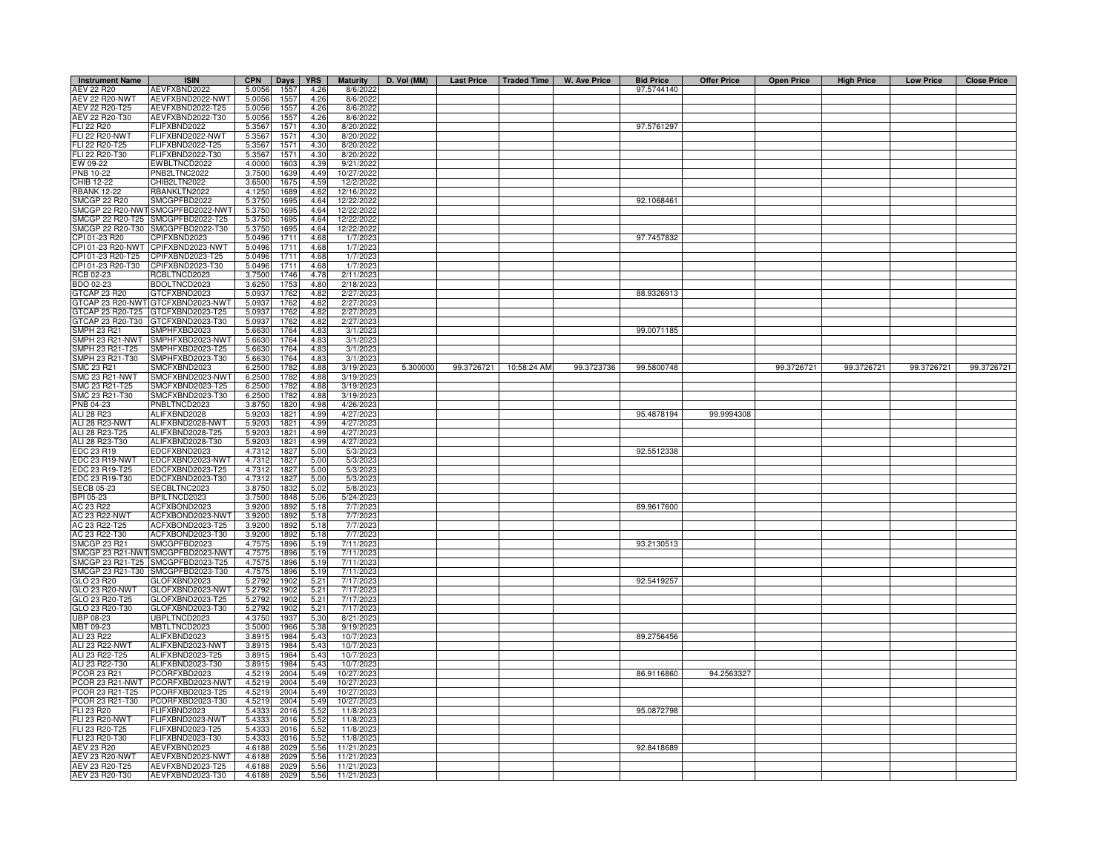| <b>Instrument Name</b>                  | <b>ISIN</b>                          | <b>CPN</b>       | Days         | <b>YRS</b>   | <b>Maturity</b>          | D. Vol (MM) | Last Price   Traded Time |             | W. Ave Price | <b>Bid Price</b> | <b>Offer Price</b> | <b>Open Price</b> | <b>High Price</b> | <b>Low Price</b> | <b>Close Price</b> |
|-----------------------------------------|--------------------------------------|------------------|--------------|--------------|--------------------------|-------------|--------------------------|-------------|--------------|------------------|--------------------|-------------------|-------------------|------------------|--------------------|
| AEV 22 R20                              | AEVFXBND2022                         | 5.0056           | 1557         | 4.26         | 8/6/2022                 |             |                          |             |              | 97.5744140       |                    |                   |                   |                  |                    |
| <b>AEV 22 R20-NWT</b>                   | AEVFXBND2022-NWT                     | 5.0056           | 1557         | 4.26         | 8/6/2022                 |             |                          |             |              |                  |                    |                   |                   |                  |                    |
| AEV 22 R20-T25                          | AEVFXBND2022-T25                     | 5.0056           | 1557         | 4.26         | 8/6/2022                 |             |                          |             |              |                  |                    |                   |                   |                  |                    |
| AEV 22 R20-T30                          | AEVFXBND2022-T30                     | 5.0056           | 1557         | 4.26         | 8/6/2022                 |             |                          |             |              |                  |                    |                   |                   |                  |                    |
| FLI 22 R20                              | FLIFXBND2022                         | 5.3567           | 1571         | 4.30         | 8/20/2022                |             |                          |             |              | 97.5761297       |                    |                   |                   |                  |                    |
| <b>FLI 22 R20-NWT</b><br>FLI 22 R20-T25 | FLIFXBND2022-NWT<br>FLIFXBND2022-T25 | 5.3567<br>5.3567 | 1571<br>1571 | 4.30<br>4.30 | 8/20/2022<br>8/20/2022   |             |                          |             |              |                  |                    |                   |                   |                  |                    |
| FLI 22 R20-T30                          | FLIFXBND2022-T30                     | 5.3567           | 1571         | 4.30         | 8/20/2022                |             |                          |             |              |                  |                    |                   |                   |                  |                    |
| EW 09-22                                | EWBLTNCD2022                         | 4.0000           | 1603         | 4.39         | 9/21/2022                |             |                          |             |              |                  |                    |                   |                   |                  |                    |
| PNB 10-22                               | PNB2LTNC2022                         | 3.7500           | 1639         | 4.49         | 10/27/2022               |             |                          |             |              |                  |                    |                   |                   |                  |                    |
| CHIB 12-22                              | CHIB2LTN2022                         | 3.6500           | 1675         | 4.59         | 12/2/2022                |             |                          |             |              |                  |                    |                   |                   |                  |                    |
| <b>BANK 12-22</b>                       | RBANKLTN2022                         | 4.1250           | 1689         | 4.62         | 12/16/202                |             |                          |             |              |                  |                    |                   |                   |                  |                    |
| SMCGP 22 R20                            | SMCGPFBD2022                         | 5.3750           | 1695         | 4.64         | 12/22/2022               |             |                          |             |              | 92.1068461       |                    |                   |                   |                  |                    |
|                                         | MCGP 22 R20-NWT SMCGPFBD2022-NWT     | 5.3750           | 1695         | 4.64         | 12/22/2022               |             |                          |             |              |                  |                    |                   |                   |                  |                    |
|                                         | MCGP 22 R20-T25 SMCGPFBD2022-T25     | 5.3750           | 1695         | 4.64         | 12/22/2022               |             |                          |             |              |                  |                    |                   |                   |                  |                    |
|                                         | MCGP 22 R20-T30 SMCGPFBD2022-T30     | 5.3750           | 1695         | 4.64         | 12/22/2022               |             |                          |             |              |                  |                    |                   |                   |                  |                    |
| PI 01-23 R20                            | CPIFXBND2023                         | 5.0496           | 1711         | 4.68         | 1/7/202                  |             |                          |             |              | 97.7457832       |                    |                   |                   |                  |                    |
| PI 01-23 R20-NWT<br>PI 01-23 R20-T25    | CPIFXBND2023-NWT<br>CPIFXBND2023-T25 | 5.0496<br>5.0496 | 1711<br>1711 | 4.68<br>4.68 | 1/7/202<br>1/7/2023      |             |                          |             |              |                  |                    |                   |                   |                  |                    |
| CPI 01-23 R20-T30                       | CPIFXBND2023-T30                     | 5.0496           | 1711         | 4.68         | 1/7/2023                 |             |                          |             |              |                  |                    |                   |                   |                  |                    |
| RCB 02-23                               | RCBLTNCD2023                         | 3.7500           | 1746         | 4.78         | 2/11/2023                |             |                          |             |              |                  |                    |                   |                   |                  |                    |
| BDO 02-23                               | BDOLTNCD2023                         | 3.6250           | 1753         | 4.80         | 2/18/2023                |             |                          |             |              |                  |                    |                   |                   |                  |                    |
| GTCAP 23 R20                            | GTCFXBND2023                         | 5.0937           | 1762         | 4.82         | 2/27/2023                |             |                          |             |              | 88.9326913       |                    |                   |                   |                  |                    |
|                                         | 3TCAP 23 R20-NWT GTCFXBND2023-NWT    | 5.093            | 1762         | 4.82         | 2/27/202                 |             |                          |             |              |                  |                    |                   |                   |                  |                    |
| GTCAP 23 R20-T25                        | GTCFXBND2023-T25                     | 5.0937           | 1762         | 4.82         | 2/27/2023                |             |                          |             |              |                  |                    |                   |                   |                  |                    |
| GTCAP 23 R20-T30                        | GTCFXBND2023-T30                     | 5.0937           | 1762         | 4.82         | 2/27/2023                |             |                          |             |              |                  |                    |                   |                   |                  |                    |
| SMPH 23 R21                             | SMPHFXBD2023                         | 5.6630           | 1764         | 4.83         | 3/1/2023                 |             |                          |             |              | 99.0071185       |                    |                   |                   |                  |                    |
| SMPH 23 R21-NWT                         | SMPHFXBD2023-NWT                     | 5.6630           | 1764         | 4.83         | 3/1/2023                 |             |                          |             |              |                  |                    |                   |                   |                  |                    |
| SMPH 23 R21-T25                         | SMPHFXBD2023-T25                     | 5.663            | 1764         | 4.83         | 3/1/202                  |             |                          |             |              |                  |                    |                   |                   |                  |                    |
| MPH 23 R21-T30                          | SMPHFXBD2023-T30                     | 5.6630           | 1764         | 4.83         | 3/1/202                  |             |                          |             |              |                  |                    |                   |                   |                  |                    |
| <b>SMC 23 R21</b><br>SMC 23 R21-NWT     | SMCFXBND2023<br>SMCFXBND2023-NWT     | 6.2500<br>6.2500 | 1782<br>1782 | 4.88<br>4.88 | 3/19/2023<br>3/19/202    | 5.300000    | 99.3726721               | 10:58:24 AM | 99.3723736   | 99.5800748       |                    | 99.3726721        | 99.3726721        | 99.3726721       | 99.3726721         |
| SMC 23 R21-T25                          | SMCFXBND2023-T25                     | 6.2500           | 1782         | 4.88         | 3/19/2023                |             |                          |             |              |                  |                    |                   |                   |                  |                    |
| SMC 23 R21-T30                          | SMCFXBND2023-T30                     | 6.250            | 1782         | 4.88         | 3/19/2023                |             |                          |             |              |                  |                    |                   |                   |                  |                    |
| PNB 04-23                               | PNBLTNCD2023                         | 3.8750           | 1820         | 4.98         | 4/26/202                 |             |                          |             |              |                  |                    |                   |                   |                  |                    |
| ALI 28 R23                              | ALIFXBND2028                         | 5.920            | 1821         | 4.99         | 4/27/202                 |             |                          |             |              | 95.4878194       | 99.9994308         |                   |                   |                  |                    |
| ALI 28 R23-NWT                          | ALIFXBND2028-NWT                     | 5.920            | 1821         | 4.99         | 4/27/202                 |             |                          |             |              |                  |                    |                   |                   |                  |                    |
| ALI 28 R23-T25                          | ALIFXBND2028-T25                     | 5.920            | 1821         | 4.99         | 4/27/2023                |             |                          |             |              |                  |                    |                   |                   |                  |                    |
| ALI 28 R23-T30                          | ALIFXBND2028-T30                     | 5.920            | 1821         | 4.99         | 4/27/2023                |             |                          |             |              |                  |                    |                   |                   |                  |                    |
| EDC 23 R19                              | EDCFXBND2023                         | 4.7312           | 1827         | 5.00         | 5/3/2023                 |             |                          |             |              | 92.5512338       |                    |                   |                   |                  |                    |
| EDC 23 R19-NWT                          | EDCFXBND2023-NWT                     | 4.731            | 1827         | 5.00         | 5/3/2023                 |             |                          |             |              |                  |                    |                   |                   |                  |                    |
| EDC 23 R19-T25                          | EDCFXBND2023-T25                     | 4.731<br>4.731   | 1827         | 5.00         | 5/3/2023                 |             |                          |             |              |                  |                    |                   |                   |                  |                    |
| DC 23 R19-T30<br>ECB 05-23              | EDCFXBND2023-T30<br>SECBLTNC2023     | 3.875            | 1827<br>1832 | 5.00<br>5.02 | 5/3/2023<br>5/8/202      |             |                          |             |              |                  |                    |                   |                   |                  |                    |
| BPI 05-23                               | BPILTNCD2023                         | 3.7500           | 1848         | 5.06         | 5/24/2023                |             |                          |             |              |                  |                    |                   |                   |                  |                    |
| AC 23 R22                               | ACFXBOND2023                         | 3.9200           | 1892         | 5.18         | 7/7/2023                 |             |                          |             |              | 89.9617600       |                    |                   |                   |                  |                    |
| <b>AC 23 R22-NWT</b>                    | ACFXBOND2023-NWT                     | 3.9200           | 1892         | 5.18         | 7/7/2023                 |             |                          |             |              |                  |                    |                   |                   |                  |                    |
| AC 23 R22-T25                           | ACFXBOND2023-T25                     | 3.9200           | 1892         | 5.18         | 7/7/2023                 |             |                          |             |              |                  |                    |                   |                   |                  |                    |
| AC 23 R22-T30                           | ACFXBOND2023-T30                     | 3.920            | 1892         | 5.18         | 7/7/202                  |             |                          |             |              |                  |                    |                   |                   |                  |                    |
| <b>SMCGP 23 R21</b>                     | SMCGPFBD2023                         | 4.757            | 1896         | 5.19         | 7/11/2023                |             |                          |             |              | 93.2130513       |                    |                   |                   |                  |                    |
| SMCGP 23 R21-NWT                        | SMCGPFBD2023-NWT                     | 4.757            | 1896         | 5.19         | 7/11/2023                |             |                          |             |              |                  |                    |                   |                   |                  |                    |
| SMCGP 23 R21-T25                        | SMCGPFBD2023-T25                     | 4.7575           | 1896         | 5.19         | 7/11/2023                |             |                          |             |              |                  |                    |                   |                   |                  |                    |
| SMCGP 23 R21-T30                        | SMCGPFBD2023-T30                     | 4.7575           | 1896         | 5.19         | 7/11/2023                |             |                          |             |              |                  |                    |                   |                   |                  |                    |
| GLO 23 R20<br>GLO 23 R20-NWT            | GLOFXBND2023<br>GLOFXBND2023-NWT     | 5.2792<br>5.2792 | 1902<br>1902 | 5.21<br>5.21 | 7/17/2023<br>7/17/2023   |             |                          |             |              | 92.5419257       |                    |                   |                   |                  |                    |
| GLO 23 R20-T25                          | GLOFXBND2023-T25                     | 5.2792           | 1902         | 5.21         | 7/17/2023                |             |                          |             |              |                  |                    |                   |                   |                  |                    |
| GLO 23 R20-T30                          | GLOFXBND2023-T30                     | 5.2792           | 1902         | 5.21         | 7/17/2023                |             |                          |             |              |                  |                    |                   |                   |                  |                    |
| UBP 08-23                               | UBPLTNCD2023                         | 4.3750           | 1937         | 5.30         | 8/21/2023                |             |                          |             |              |                  |                    |                   |                   |                  |                    |
| MBT 09-23                               | MBTLTNCD2023                         | 3.5000           | 1966         | 5.38         | 9/19/2023                |             |                          |             |              |                  |                    |                   |                   |                  |                    |
| ALI 23 R22                              | ALIFXBND2023                         | 3.8915           | 1984         | 5.43         | 10/7/2023                |             |                          |             |              | 89.2756456       |                    |                   |                   |                  |                    |
| <b>ALI 23 R22-NWT</b>                   | ALIFXBND2023-NWT                     | 3.8915           | 1984         | 5.43         | 10/7/2023                |             |                          |             |              |                  |                    |                   |                   |                  |                    |
| ALI 23 R22-T25                          | ALIFXBND2023-T25                     | 3.8915           | 1984         | 5.43         | 10/7/2023                |             |                          |             |              |                  |                    |                   |                   |                  |                    |
| ALI 23 R22-T30                          | ALIFXBND2023-T30                     | 3.8915           | 1984         | 5.43         | 10/7/2023                |             |                          |             |              |                  |                    |                   |                   |                  |                    |
| PCOR 23 R21                             | PCORFXBD2023                         | 4.5219           | 2004         | 5.49         | 10/27/2023               |             |                          |             |              | 86.9116860       | 94.2563327         |                   |                   |                  |                    |
| PCOR 23 R21-NWT<br>PCOR 23 R21-T25      | PCORFXBD2023-NWT<br>PCORFXBD2023-T25 | 4.5219<br>4.5219 | 2004<br>2004 | 5.49<br>5.49 | 10/27/2023<br>10/27/2023 |             |                          |             |              |                  |                    |                   |                   |                  |                    |
| PCOR 23 R21-T30                         | PCORFXBD2023-T30                     | 4.5219           | 2004         | 5.49         | 10/27/2023               |             |                          |             |              |                  |                    |                   |                   |                  |                    |
| FLI 23 R20                              | FLIFXBND2023                         | 5.4333           | 2016         | 5.52         | 11/8/2023                |             |                          |             |              | 95.0872798       |                    |                   |                   |                  |                    |
| FLI 23 R20-NWT                          | FLIFXBND2023-NWT                     | 5.433            | 2016         | 5.52         | 11/8/2023                |             |                          |             |              |                  |                    |                   |                   |                  |                    |
| FLI 23 R20-T25                          | FLIFXBND2023-T25                     | 5.433            | 2016         | 5.52         | 11/8/2023                |             |                          |             |              |                  |                    |                   |                   |                  |                    |
| FLI 23 R20-T30                          | FLIFXBND2023-T30                     | 5.433            | 2016         | 5.52         | 11/8/2023                |             |                          |             |              |                  |                    |                   |                   |                  |                    |
| AEV 23 R20                              | AEVFXBND2023                         | 4.618            | 2029         | 5.56         | 11/21/2023               |             |                          |             |              | 92.8418689       |                    |                   |                   |                  |                    |
| AEV 23 R20-NWT                          | AEVFXBND2023-NWT                     | 4.618            | 2029         | 5.56         | 11/21/2023               |             |                          |             |              |                  |                    |                   |                   |                  |                    |
| AEV 23 R20-T25                          | AEVFXBND2023-T25                     | 4.618            | 2029         | 5.56         | 11/21/202                |             |                          |             |              |                  |                    |                   |                   |                  |                    |
| AEV 23 R20-T30                          | AEVFXBND2023-T30                     | 4.6188           | 2029         | 5.56         | 11/21/2023               |             |                          |             |              |                  |                    |                   |                   |                  |                    |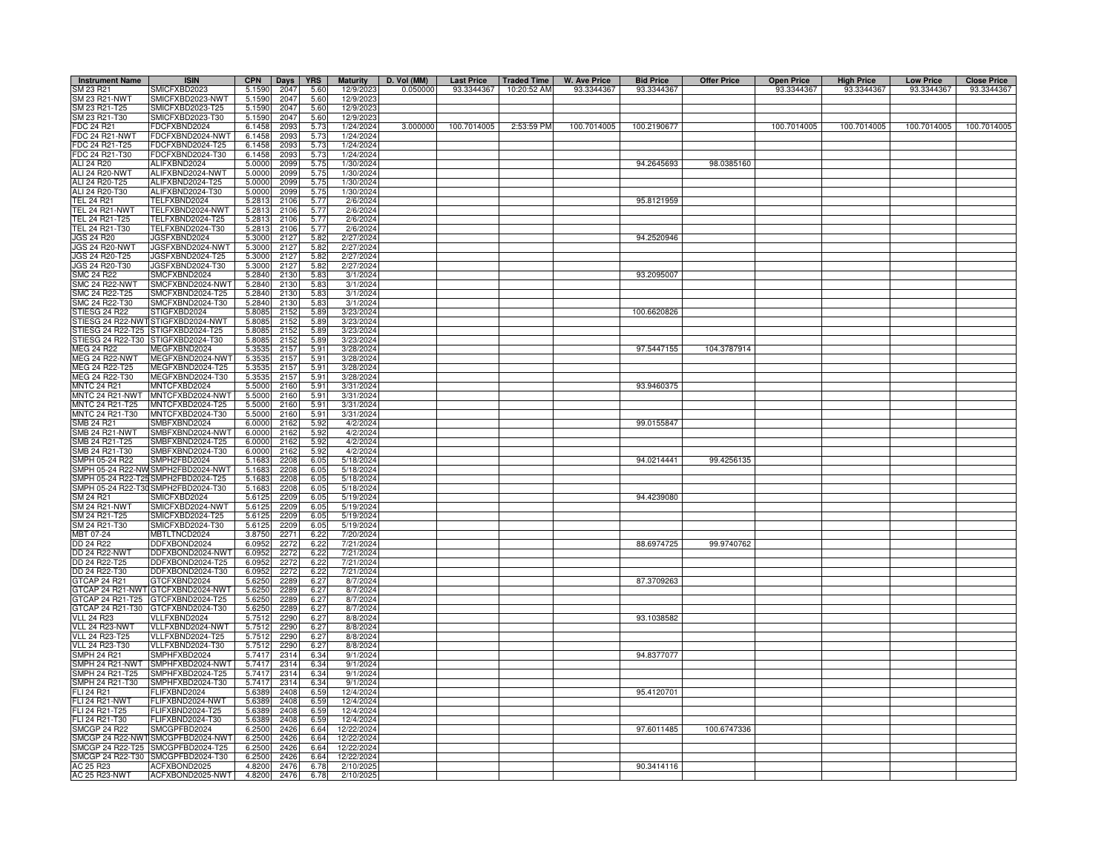| <b>Instrument Name</b>                 | <b>ISIN</b>                             | <b>CPN</b>       | <b>Days</b>  | <b>YRS</b>   | <b>Maturity</b>          | D. Vol (MM) | <b>Last Price</b> | <b>Traded Time</b> | <b>W. Ave Price</b> | <b>Bid Price</b> | <b>Offer Price</b> | <b>Open Price</b> | <b>High Price</b> | <b>Low Price</b> | <b>Close Price</b> |
|----------------------------------------|-----------------------------------------|------------------|--------------|--------------|--------------------------|-------------|-------------------|--------------------|---------------------|------------------|--------------------|-------------------|-------------------|------------------|--------------------|
| SM 23 R21                              | <b>SMICFXBD2023</b>                     | 5.1590           | 2047         | 5.60         | 12/9/202                 | 0.050000    | 93.3344367        | 10:20:52 AM        | 93.3344367          | 93.3344367       |                    | 93.3344367        | 93.3344367        | 93.3344367       | 93.3344367         |
| SM 23 R21-NWT                          | MICFXBD2023-NWT                         | 5.1590           | 2047         | 5.60         | 12/9/202                 |             |                   |                    |                     |                  |                    |                   |                   |                  |                    |
| SM 23 R21-T25                          | SMICFXBD2023-T25                        | 5.1590           | 2047         | 5.60         | 12/9/202                 |             |                   |                    |                     |                  |                    |                   |                   |                  |                    |
| SM 23 R21-T30                          | SMICFXBD2023-T30                        | 5.1590           | 2047         | 5.60         | 12/9/202                 |             |                   |                    |                     |                  |                    |                   |                   |                  |                    |
| FDC 24 R21                             | DCFXBND2024 <sup>-</sup>                | 6.1458           | 2093         | 5.73         | 1/24/2024                | 3.000000    | 100.7014005       | 2:53:59 PM         | 100.7014005         | 100.2190677      |                    | 100.7014005       | 100.7014005       | 100.7014005      | 100.7014005        |
| <b>FDC 24 R21-NWT</b>                  | FDCFXBND2024-NWT                        | 6.1458<br>6.1458 | 2093         | 5.73         | 1/24/2024                |             |                   |                    |                     |                  |                    |                   |                   |                  |                    |
| FDC 24 R21-T25<br>FDC 24 R21-T30       | FDCFXBND2024-T25<br>FDCFXBND2024-T30    | 6.1458           | 2093<br>2093 | 5.73<br>5.73 | 1/24/2024<br>1/24/2024   |             |                   |                    |                     |                  |                    |                   |                   |                  |                    |
| ALI 24 R20                             | ALIFXBND2024                            | 5.0000           | 2099         | 5.75         | 1/30/2024                |             |                   |                    |                     | 94.2645693       | 98.0385160         |                   |                   |                  |                    |
| ALI 24 R20-NWT                         | ALIFXBND2024-NWT                        | 5.0000           | 2099         | 5.75         | 1/30/2024                |             |                   |                    |                     |                  |                    |                   |                   |                  |                    |
| ALI 24 R20-T25                         | ALIFXBND2024-T25                        | 5.0000           | 2099         | 5.75         | 1/30/2024                |             |                   |                    |                     |                  |                    |                   |                   |                  |                    |
| ALI 24 R20-T30                         | ALIFXBND2024-T30                        | 5.0000           | 2099         | 5.75         | 1/30/202                 |             |                   |                    |                     |                  |                    |                   |                   |                  |                    |
| <b>TEL 24 R21</b>                      | TELFXBND2024                            | 5.2813           | 2106         | 5.77         | 2/6/2024                 |             |                   |                    |                     | 95.8121959       |                    |                   |                   |                  |                    |
| <b>TEL 24 R21-NWT</b>                  | TELFXBND2024-NWT                        | 5.2813           | 2106         | 5.77         | 2/6/202                  |             |                   |                    |                     |                  |                    |                   |                   |                  |                    |
| TEL 24 R21-T25<br>TEL 24 R21-T30       | TELFXBND2024-T25<br>TELFXBND2024-T30    | 5.2813<br>5.2813 | 2106<br>2106 | 5.77<br>5.77 | 2/6/2024<br>2/6/2024     |             |                   |                    |                     |                  |                    |                   |                   |                  |                    |
| <b>JGS 24 R20</b>                      | JGSFXBND2024                            | 5.3000           | 2127         | 5.82         | 2/27/2024                |             |                   |                    |                     | 94.2520946       |                    |                   |                   |                  |                    |
| <b>JGS 24 R20-NWT</b>                  | JGSFXBND2024-NWT                        | 5.3000           | 212          | 5.82         | 2/27/2024                |             |                   |                    |                     |                  |                    |                   |                   |                  |                    |
| JGS 24 R20-T25                         | JGSFXBND2024-T25                        | 5.3000           | 212          | 5.82         | 2/27/2024                |             |                   |                    |                     |                  |                    |                   |                   |                  |                    |
| JGS 24 R20-T30                         | JGSFXBND2024-T30                        | 5.3000           | 2127         | 5.82         | 2/27/2024                |             |                   |                    |                     |                  |                    |                   |                   |                  |                    |
| SMC 24 R22                             | MCFXBND2024                             | 5.2840           | 2130         | 5.83         | 3/1/2024                 |             |                   |                    |                     | 93.2095007       |                    |                   |                   |                  |                    |
| <b>SMC 24 R22-NWT</b>                  | MCFXBND2024-NWT                         | 5.2840           | 2130         | 5.8          | 3/1/202                  |             |                   |                    |                     |                  |                    |                   |                   |                  |                    |
| SMC 24 R22-T25                         | SMCFXBND2024-T25                        | 5.2840           | 2130         | 5.83         | 3/1/202                  |             |                   |                    |                     |                  |                    |                   |                   |                  |                    |
| SMC 24 R22-T30<br>STIESG 24 R22        | SMCFXBND2024-T30<br>TIGFXBD2024         | 5.2840<br>5.8085 | 2130<br>2152 | 5.83<br>5.89 | 3/1/202<br>3/23/2024     |             |                   |                    |                     | 100.6620826      |                    |                   |                   |                  |                    |
| STIESG 24 R22-NW                       | TIGFXBD2024-NWT                         | 5.8085           | 2152         | 5.89         | 3/23/2024                |             |                   |                    |                     |                  |                    |                   |                   |                  |                    |
| STIESG 24 R22-T25                      | STIGFXBD2024-T25                        | 5.8085           | 2152         | 5.89         | 3/23/2024                |             |                   |                    |                     |                  |                    |                   |                   |                  |                    |
|                                        | STIESG 24 R22-T30 STIGFXBD2024-T30      | 5.8085           | 2152         | 5.89         | 3/23/2024                |             |                   |                    |                     |                  |                    |                   |                   |                  |                    |
| MEG 24 R22                             | MEGFXBND2024                            | 5.3535           | 2157         | 5.91         | 3/28/2024                |             |                   |                    |                     | 97.5447155       | 104.3787914        |                   |                   |                  |                    |
| <b>MEG 24 R22-NWT</b>                  | MEGFXBND2024-NWT                        | 5.3535           | 2157         | 5.91         | 3/28/2024                |             |                   |                    |                     |                  |                    |                   |                   |                  |                    |
| MEG 24 R22-T25                         | MEGFXBND2024-T25                        | 5.3535           | 2157         | 5.91         | 3/28/2024                |             |                   |                    |                     |                  |                    |                   |                   |                  |                    |
| MEG 24 R22-T30                         | MEGFXBND2024-T30                        | 5.3535           | 2157         | 5.91         | 3/28/2024                |             |                   |                    |                     |                  |                    |                   |                   |                  |                    |
| <b>MNTC 24 R21</b><br>MNTC 24 R21-NWT  | MNTCFXBD2024<br>MNTCFXBD2024-NWT        | 5.5000<br>5.5000 | 2160<br>2160 | 5.91<br>5.91 | 3/31/2024<br>3/31/2024   |             |                   |                    |                     | 93.9460375       |                    |                   |                   |                  |                    |
| MNTC 24 R21-T25                        | MNTCFXBD2024-T25                        | 5.5000           | 2160         | 5.91         | 3/31/2024                |             |                   |                    |                     |                  |                    |                   |                   |                  |                    |
| MNTC 24 R21-T30                        | MNTCFXBD2024-T30                        | 5.5000           | 2160         | 5.91         | 3/31/2024                |             |                   |                    |                     |                  |                    |                   |                   |                  |                    |
| <b>SMB 24 R21</b>                      | MBFXBND2024                             | 6.0000           | 2162         | 5.92         | 4/2/202                  |             |                   |                    |                     | 99.0155847       |                    |                   |                   |                  |                    |
| SMB 24 R21-NWT                         | MBFXBND2024-NWT                         | 6.000            | 2162         | 5.92         | 4/2/2024                 |             |                   |                    |                     |                  |                    |                   |                   |                  |                    |
| SMB 24 R21-T25                         | MBFXBND2024-T25                         | 6.000            | 2162         | 5.92         | 4/2/2024                 |             |                   |                    |                     |                  |                    |                   |                   |                  |                    |
| SMB 24 R21-T30<br>SMPH 05-24 R22       | SMBFXBND2024-T30<br>SMPH2FBD2024        | 6.0000<br>5.1683 | 2162<br>2208 | 5.92<br>6.05 | 4/2/2024<br>5/18/2024    |             |                   |                    |                     | 94.0214441       | 99.4256135         |                   |                   |                  |                    |
| SMPH 05-24 R22-NV                      | SMPH2FBD2024-NWT                        | 5.1683           | 2208         | 6.05         | 5/18/2024                |             |                   |                    |                     |                  |                    |                   |                   |                  |                    |
| MPH 05-24 R22-T25                      | SMPH2FBD2024-T25                        | 5.1683           | 2208         | 6.05         | 5/18/2024                |             |                   |                    |                     |                  |                    |                   |                   |                  |                    |
| MPH 05-24 R22-T30                      | SMPH2FBD2024-T30                        | 5.1683           | 2208         | 6.05         | 5/18/2024                |             |                   |                    |                     |                  |                    |                   |                   |                  |                    |
| SM 24 R21                              | <b>MICFXBD2024</b>                      | 5.6125           | 2209         | 6.05         | 5/19/2024                |             |                   |                    |                     | 94.4239080       |                    |                   |                   |                  |                    |
| SM 24 R21-NWT                          | MICFXBD2024-NWT                         | 5.6125           | 2209         | 6.05         | 5/19/2024                |             |                   |                    |                     |                  |                    |                   |                   |                  |                    |
| SM 24 R21-T25                          | MICFXBD2024-T25                         | 5.6125           | 2209         | 6.05         | 5/19/2024                |             |                   |                    |                     |                  |                    |                   |                   |                  |                    |
| SM 24 R21-T30<br>MBT 07-24             | SMICFXBD2024-T30<br><b>MBTLTNCD2024</b> | 5.6125<br>3.8750 | 2209<br>227  | 6.05<br>6.22 | 5/19/2024<br>7/20/2024   |             |                   |                    |                     |                  |                    |                   |                   |                  |                    |
| DD 24 R22                              | DDFXBOND2024                            | 6.0952           | 2272         | 6.22         | 7/21/2024                |             |                   |                    |                     | 88.6974725       | 99.9740762         |                   |                   |                  |                    |
| <b>DD 24 R22-NWT</b>                   | DDFXBOND2024-NWT                        | 6.0952           | 2272         | 6.22         | 7/21/2024                |             |                   |                    |                     |                  |                    |                   |                   |                  |                    |
| DD 24 R22-T25                          | DDFXBOND2024-T25                        | 6.0952           | 2272         | 6.22         | 7/21/2024                |             |                   |                    |                     |                  |                    |                   |                   |                  |                    |
| DD 24 R22-T30                          | DDFXBOND2024-T30                        | 6.0952           | 2272         | 6.22         | 7/21/2024                |             |                   |                    |                     |                  |                    |                   |                   |                  |                    |
| GTCAP 24 R21                           | GTCFXBND2024                            | 5.6250           | 2289         | 6.27         | 8/7/202                  |             |                   |                    |                     | 87.3709263       |                    |                   |                   |                  |                    |
| GTCAP 24 R21-NWT<br>GTCAP 24 R21-T25   | 3TCFXBND2024-NWT                        | 5.6250           | 2289<br>2289 | 6.27         | 8/7/2024<br>8/7/2024     |             |                   |                    |                     |                  |                    |                   |                   |                  |                    |
| GTCAP 24 R21-T30                       | GTCFXBND2024-T25<br>GTCFXBND2024-T30    | 5.6250<br>5.6250 | 2289         | 6.27<br>6.27 | 8/7/2024                 |             |                   |                    |                     |                  |                    |                   |                   |                  |                    |
| <b>VLL 24 R23</b>                      | /LLFXBND2024                            | 5.7512           | 2290         | 6.27         | 8/8/2024                 |             |                   |                    |                     | 93.1038582       |                    |                   |                   |                  |                    |
| VLL 24 R23-NWT                         | <b>/LLFXBND2024-NWT</b>                 | 5.7512           | 2290         | 6.27         | 8/8/2024                 |             |                   |                    |                     |                  |                    |                   |                   |                  |                    |
| <b>VLL 24 R23-T25</b>                  | VLLFXBND2024-T25                        | 5.7512           | 2290         | 6.27         | 8/8/2024                 |             |                   |                    |                     |                  |                    |                   |                   |                  |                    |
| VLL 24 R23-T30                         | /LLFXBND2024-T30                        | 5.7512           | 2290         | 6.27         | 8/8/2024                 |             |                   |                    |                     |                  |                    |                   |                   |                  |                    |
| SMPH 24 R21                            | SMPHFXBD2024                            | 5.7417           | 2314         | 6.34         | 9/1/2024                 |             |                   |                    |                     | 94.8377077       |                    |                   |                   |                  |                    |
| SMPH 24 R21-NWT                        | SMPHFXBD2024-NWT                        | 5.7417           | 2314         | 6.34         | 9/1/2024                 |             |                   |                    |                     |                  |                    |                   |                   |                  |                    |
| SMPH 24 R21-T25<br>SMPH 24 R21-T30     | MPHFXBD2024-T25<br>SMPHFXBD2024-T30     | 5.7417<br>5.7417 | 2314<br>2314 | 6.34<br>6.34 | 9/1/2024<br>9/1/2024     |             |                   |                    |                     |                  |                    |                   |                   |                  |                    |
| FLI 24 R21                             | FLIFXBND2024                            | 5.6389           | 2408         | 6.59         | 12/4/2024                |             |                   |                    |                     | 95.4120701       |                    |                   |                   |                  |                    |
| <b>FLI 24 R21-NWT</b>                  | FLIFXBND2024-NWT                        | 5.6389           | 2408         | 6.59         | 12/4/2024                |             |                   |                    |                     |                  |                    |                   |                   |                  |                    |
| FLI 24 R21-T25                         | FLIFXBND2024-T25                        | 5.6389           | 2408         | 6.59         | 12/4/2024                |             |                   |                    |                     |                  |                    |                   |                   |                  |                    |
| FLI 24 R21-T30                         | FLIFXBND2024-T30                        | 5.6389           | 2408         | 6.59         | 12/4/2024                |             |                   |                    |                     |                  |                    |                   |                   |                  |                    |
| <b>SMCGP 24 R22</b><br>MCGP 24 R22-NWT | SMCGPFBD2024<br>SMCGPFBD2024-NWT        | 6.2500<br>6.2500 | 2426<br>2426 | 6.64<br>6.64 | 12/22/2024<br>12/22/2024 |             |                   |                    |                     | 97.6011485       | 100.6747336        |                   |                   |                  |                    |
| MCGP 24 R22-T25                        | MCGPFBD2024-T25                         | 6.2500           | 2426         | 6.64         | 12/22/2024               |             |                   |                    |                     |                  |                    |                   |                   |                  |                    |
| SMCGP 24 R22-T30                       | SMCGPFBD2024-T30                        | 6.2500           | 2426         | 6.64         | 12/22/2024               |             |                   |                    |                     |                  |                    |                   |                   |                  |                    |
| AC 25 R23                              | ACFXBOND2025                            | 4.8200           | 2476         | 6.71         | 2/10/202                 |             |                   |                    |                     | 90.3414116       |                    |                   |                   |                  |                    |
| AC 25 R23-NWT                          | ACFXBOND2025-NWT                        | 4.8200           | 2476         | 6.78         | 2/10/2025                |             |                   |                    |                     |                  |                    |                   |                   |                  |                    |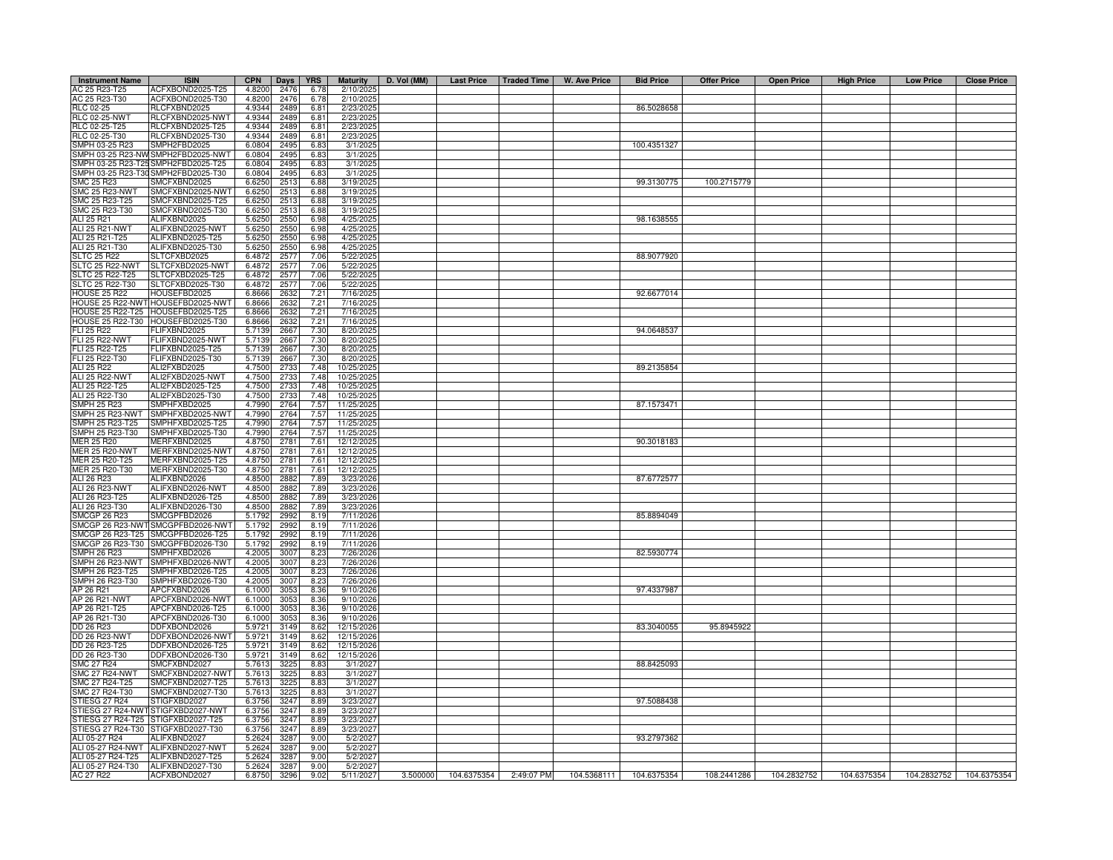| 6.78<br>AC 25 R23-T30<br>ACFXBOND2025-T30<br>4.8200<br>2476<br>6.78<br>2/10/2025<br>86.5028658<br>RLC 02-25<br>RLCFXBND2025<br>2489<br>6.81<br>2/23/202<br>4.9344<br>RLCFXBND2025-NWT<br><b>RLC 02-25-NWT</b><br>4.9344<br>2489<br>2/23/202<br>6.81<br>RLC 02-25-T25<br>RLCFXBND2025-T25<br>2489<br>4.9344<br>6.81<br>2/23/202<br>RLC 02-25-T30<br>RLCFXBND2025-T30<br>4.9344<br>2489<br>2/23/202<br>6.81<br>SMPH 03-25 R23<br>MPH2FBD2025<br>6.0804<br>2495<br>3/1/202<br>100.4351327<br>6.83<br>MPH2FBD2025-NWT<br>SMPH 03-25 R23-NW<br>6.0804<br>2495<br>3/1/202<br>6.83<br>MPH2FBD2025-T25<br>SMPH 03-25 R23-T2<br>6.0804<br>2495<br>6.83<br>3/1/202<br>SMPH 03-25 R23-T30<br>SMPH2FBD2025-T30<br>6.0804<br>2495<br>3/1/202<br>6.83<br>SMC 25 R23<br>MCFXBND2025<br>6.6250<br>251<br>3/19/202<br>99.3130775<br>100.2715779<br>6.88<br>SMC 25 R23-NWT<br>SMCFXBND2025-NWT<br>6.6250<br>251<br>6.88<br>3/19/202<br>SMC 25 R23-T25<br>SMCFXBND2025-T25<br>251<br>6.6250<br>6.88<br>3/19/2025<br>SMC 25 R23-T30<br>SMCFXBND2025-T30<br>6.6250<br>251<br>3/19/202<br>6.88<br>ALI 25 R21<br>ALIFXBND2025<br>5.6250<br>2550<br>6.98<br>4/25/202<br>98.1638555<br>ALIFXBND2025-NWT<br>ALI 25 R21-NWT<br>5.6250<br>2550<br>6.98<br>4/25/202<br>ALI 25 R21-T25<br>ALIFXBND2025-T25<br>5.6250<br>2550<br>4/25/202<br>6.98<br>ALI 25 R21-T30<br>2550<br>ALIFXBND2025-T30<br>5.6250<br>6.98<br>4/25/202<br><b>SLTC 25 R22</b><br>SLTCFXBD2025<br>6.4872<br>2577<br>7.06<br>5/22/202<br>88.9077920<br>SLTC 25 R22-NWT<br>SLTCFXBD2025-NWT<br>6.4872<br>2577<br>7.06<br>5/22/202<br>SLTC 25 R22-T25<br>SLTCFXBD2025-T25<br>6.4872<br>2577<br>7.06<br>5/22/202<br>SLTC 25 R22-T30<br>SLTCFXBD2025-T30<br>6.4872<br>2577<br>7.06<br>5/22/202<br><b>HOUSE 25 R22</b><br><b>IOUSEFBD2025</b><br>6.8666<br>2632<br>7.21<br>7/16/202<br>92.6677014<br>HOUSE 25 R22-NW<br>HOUSEFBD2025-NWT<br>6.8666<br>2632<br>7.21<br>7/16/202<br>HOUSEFBD2025-T25<br><b>HOUSE 25 R22-T25</b><br>2632<br>7.21<br>7/16/202<br>6.8666<br><b>HOUSE 25 R22-T30</b><br>HOUSEFBD2025-T30<br>2632<br>7.21<br>7/16/202<br>6.8666<br>FLI 25 R22<br><b>LIFXBND2025</b><br>94.0648537<br>2667<br>7.30<br>8/20/202<br>5.7139<br><b>FLI 25 R22-NWT</b><br><b>ELIFXBND2025-NWT</b><br>2667<br>7.30<br>8/20/202<br>5.7139<br>FLI 25 R22-T25<br>FLIFXBND2025-T25<br>5.7139<br>2667<br>7.30<br>8/20/202<br>FLI 25 R22-T30<br>FLIFXBND2025-T30<br>5.7139<br>2667<br>7.30<br>8/20/202<br>ALI 25 R22<br>ALI2FXBD2025<br>4.7500<br>2733<br>7.48<br>10/25/202<br>89.2135854<br><b>ALI 25 R22-NWT</b><br>ALI2FXBD2025-NWT<br>4.7500<br>10/25/202<br>2733<br>7.48<br>ALI 25 R22-T25<br>ALI2FXBD2025-T25<br>4.7500<br>273<br>7.48<br>10/25/2025<br>ALI 25 R22-T30<br>ALI2FXBD2025-T30<br>4.7500<br>273<br>7.48<br>10/25/202<br>2764<br>7.57<br><b>SMPH 25 R23</b><br>SMPHFXBD2025<br>4.7990<br>11/25/2025<br>87.1573471<br>SMPH 25 R23-NWT<br>SMPHFXBD2025-NWT<br>4.7990<br>11/25/2025<br>2764<br>7.57<br>SMPHFXBD2025-T25<br>11/25/2025<br>SMPH 25 R23-T25<br>4.7990<br>2764<br>7.57<br>MPH 25 R23-T30<br>MPHFXBD2025-T30<br>4.7990<br>2764<br>7.57<br>11/25/202<br><b>JER 25 R20</b><br><b>MERFXBND2025</b><br>4.8750<br>278<br>7.61<br>12/12/202<br>90.3018183<br>JER 25 R20-NWT<br>MERFXBND2025-NWT<br>4.8750<br>278<br>7.61<br>12/12/202<br>MERFXBND2025-T25<br><b>JER 25 R20-T25</b><br>4.8750<br>278<br>7.61<br>12/12/202<br>JER 25 R20-T30<br>MERFXBND2025-T30<br>4.8750<br>2781<br>7.61<br>12/12/202<br>ALI 26 R23<br>ALIFXBND2026<br>2882<br>7.89<br>3/23/2026<br>87.6772577<br>4.8500<br>ALI 26 R23-NWT<br>ALIFXBND2026-NWT<br>4.8500<br>2882<br>7.89<br>3/23/2020<br>ALI 26 R23-T25<br>ALIFXBND2026-T25<br>4.8500<br>2882<br>7.89<br>3/23/2026<br>ALI 26 R23-T30<br>ALIFXBND2026-T30<br>2882<br>7.89<br>4.8500<br>3/23/2026<br><b>SMCGP 26 R23</b><br>SMCGPFBD2026<br>2992<br>85.8894049<br>5.1792<br>8.19<br>7/11/202<br>SMCGP 26 R23-NWT<br>SMCGPFBD2026-NWT<br>2992<br>7/11/202<br>5.1792<br>8.19<br>MCGP 26 R23-T25<br>MCGPFBD2026-T25<br>5.1792<br>2992<br>7/11/2026<br>8.19<br>SMCGP 26 R23-T30<br>MCGPFBD2026-T30<br>5.1792<br>2992<br>7/11/2026<br>8.19<br>SMPH 26 R23<br>MPHFXBD2026<br>4.2005<br>3007<br>8.23<br>7/26/2026<br>82.5930774<br>SMPH 26 R23-NWT<br>MPHFXBD2026-NWT<br>4.2005<br>3007<br>8.23<br>7/26/202<br>SMPH 26 R23-T25<br>SMPHFXBD2026-T25<br>3007<br>4.2005<br>8.23<br>7/26/2020<br>SMPH 26 R23-T30<br>SMPHFXBD2026-T30<br>4.2005<br>3007<br>8.23<br>7/26/202<br>97.4337987<br>AP 26 R21<br>APCFXBND2026<br>6.1000<br>305<br>8.36<br>9/10/2026<br>APCFXBND2026-NWT<br>AP 26 R21-NWT<br>6.1000<br>305<br>8.36<br>9/10/2026<br>AP 26 R21-T25<br>APCFXBND2026-T25<br>9/10/2026<br>6.1000<br>3053<br>8.36<br>AP 26 R21-T30<br>APCFXBND2026-T30<br>6.1000<br>9/10/2026<br>3053<br>8.36<br>DD 26 R23<br>DDFXBOND2026<br>5.9721<br>314 <sup>g</sup><br>8.62<br>12/15/2026<br>83.3040055<br>95.8945922<br><b>DD 26 R23-NWT</b><br>12/15/202<br>DDFXBOND2026-NWT<br>5.9721<br>3149<br>8.62<br>DD 26 R23-T25<br>DDFXBOND2026-T25<br>5.9721<br>3149<br>8.62<br>12/15/202<br>DD 26 R23-T30<br>DDFXBOND2026-T30<br>12/15/202<br>5.9721<br>3149<br>8.62<br><b>SMC 27 R24</b><br>SMCFXBND2027<br>5.7613<br>3225<br>8.83<br>3/1/202<br>88.8425093<br><b>SMC 27 R24-NW</b><br>SMCFXBND2027-NWT<br>5.7613<br>3225<br>8.83<br>3/1/202<br>SMC 27 R24-T25<br>SMCFXBND2027-T25<br>5.7613<br>3225<br>3/1/202<br>8.83<br>SMC 27 R24-T30<br>SMCFXBND2027-T30<br>5.7613<br>3225<br>8.83<br>3/1/202<br>STIESG 27 R24<br>TIGFXBD2027<br>6.3756<br>3247<br>8.89<br>3/23/202<br>97.5088438<br>STIESG 27 R24-NWT<br>STIGFXBD2027-NWT<br>3247<br>6.3756<br>8.89<br>3/23/202<br>STIESG 27 R24-T25<br>STIGFXBD2027-T25<br>3247<br>6.3756<br>8.89<br>3/23/202<br>STIESG 27 R24-T30<br>TIGFXBD2027-T30<br>6.3756<br>3247<br>8.89<br>3/23/202<br>ALI 05-27 R24<br>ALIFXBND2027<br>93.2797362<br>5.2624<br>3287<br>9.00<br>5/2/2027<br>ALI 05-27 R24-NWT<br>ALIFXBND2027-NWT<br>3287<br>5/2/202<br>5.2624<br>9.00<br>ALI 05-27 R24-T25<br>ALIFXBND2027-T25<br>5.2624<br>3287<br>9.00<br>5/2/2021<br>ALIFXBND2027-T30<br>ALI 05-27 R24-T30<br>5.2624<br>3287<br>9.00<br>5/2/202<br>AC 27 R22<br>ACFXBOND2027<br>9.02<br>3.500000<br>104.6375354 2:49:07 PM<br>104.5368111<br>104.6375354<br>108.2441286<br>104.2832752<br>104.6375354<br>104.2832752<br>104.6375354<br>6.8750<br>3296<br>5/11/2027 | <b>Instrument Name</b> | <b>ISIN</b>      | <b>CPN</b> | Days | <b>YRS</b> | <b>Maturity</b> | D. Vol (MM) | Last Price   Traded Time | W. Ave Price | <b>Bid Price</b> | <b>Offer Price</b> | <b>Open Price</b> | <b>High Price</b> | <b>Low Price</b> | <b>Close Price</b> |
|--------------------------------------------------------------------------------------------------------------------------------------------------------------------------------------------------------------------------------------------------------------------------------------------------------------------------------------------------------------------------------------------------------------------------------------------------------------------------------------------------------------------------------------------------------------------------------------------------------------------------------------------------------------------------------------------------------------------------------------------------------------------------------------------------------------------------------------------------------------------------------------------------------------------------------------------------------------------------------------------------------------------------------------------------------------------------------------------------------------------------------------------------------------------------------------------------------------------------------------------------------------------------------------------------------------------------------------------------------------------------------------------------------------------------------------------------------------------------------------------------------------------------------------------------------------------------------------------------------------------------------------------------------------------------------------------------------------------------------------------------------------------------------------------------------------------------------------------------------------------------------------------------------------------------------------------------------------------------------------------------------------------------------------------------------------------------------------------------------------------------------------------------------------------------------------------------------------------------------------------------------------------------------------------------------------------------------------------------------------------------------------------------------------------------------------------------------------------------------------------------------------------------------------------------------------------------------------------------------------------------------------------------------------------------------------------------------------------------------------------------------------------------------------------------------------------------------------------------------------------------------------------------------------------------------------------------------------------------------------------------------------------------------------------------------------------------------------------------------------------------------------------------------------------------------------------------------------------------------------------------------------------------------------------------------------------------------------------------------------------------------------------------------------------------------------------------------------------------------------------------------------------------------------------------------------------------------------------------------------------------------------------------------------------------------------------------------------------------------------------------------------------------------------------------------------------------------------------------------------------------------------------------------------------------------------------------------------------------------------------------------------------------------------------------------------------------------------------------------------------------------------------------------------------------------------------------------------------------------------------------------------------------------------------------------------------------------------------------------------------------------------------------------------------------------------------------------------------------------------------------------------------------------------------------------------------------------------------------------------------------------------------------------------------------------------------------------------------------------------------------------------------------------------------------------------------------------------------------------------------------------------------------------------------------------------------------------------------------------------------------------------------------------------------------------------------------------------------------------------------------------------------------------------------------------------------------------------------------------------------------------------------------------------------------------------------------------------------------------------------------------------------------------------------------------------------------------------------------------------------------------------------------------------------------------------------------------------------------------------------------------------------------------------------------------------------------------------------------------------------------------------------------------------------------------------------------------------------------------------------------------------------------------------------------------------------------------------------------------------------------------------------------------------------------------------------------------------------------------------------------------------------------------------------------------------------------------------------------------------------------------------------------------------------------------------------------------------------|------------------------|------------------|------------|------|------------|-----------------|-------------|--------------------------|--------------|------------------|--------------------|-------------------|-------------------|------------------|--------------------|
|                                                                                                                                                                                                                                                                                                                                                                                                                                                                                                                                                                                                                                                                                                                                                                                                                                                                                                                                                                                                                                                                                                                                                                                                                                                                                                                                                                                                                                                                                                                                                                                                                                                                                                                                                                                                                                                                                                                                                                                                                                                                                                                                                                                                                                                                                                                                                                                                                                                                                                                                                                                                                                                                                                                                                                                                                                                                                                                                                                                                                                                                                                                                                                                                                                                                                                                                                                                                                                                                                                                                                                                                                                                                                                                                                                                                                                                                                                                                                                                                                                                                                                                                                                                                                                                                                                                                                                                                                                                                                                                                                                                                                                                                                                                                                                                                                                                                                                                                                                                                                                                                                                                                                                                                                                                                                                                                                                                                                                                                                                                                                                                                                                                                                                                                                                                                                                                                                                                                                                                                                                                                                                                                                                                                                                                                                                                                            | AC 25 R23-T25          | ACFXBOND2025-T25 | 4.8200     | 2476 |            | 2/10/202        |             |                          |              |                  |                    |                   |                   |                  |                    |
|                                                                                                                                                                                                                                                                                                                                                                                                                                                                                                                                                                                                                                                                                                                                                                                                                                                                                                                                                                                                                                                                                                                                                                                                                                                                                                                                                                                                                                                                                                                                                                                                                                                                                                                                                                                                                                                                                                                                                                                                                                                                                                                                                                                                                                                                                                                                                                                                                                                                                                                                                                                                                                                                                                                                                                                                                                                                                                                                                                                                                                                                                                                                                                                                                                                                                                                                                                                                                                                                                                                                                                                                                                                                                                                                                                                                                                                                                                                                                                                                                                                                                                                                                                                                                                                                                                                                                                                                                                                                                                                                                                                                                                                                                                                                                                                                                                                                                                                                                                                                                                                                                                                                                                                                                                                                                                                                                                                                                                                                                                                                                                                                                                                                                                                                                                                                                                                                                                                                                                                                                                                                                                                                                                                                                                                                                                                                            |                        |                  |            |      |            |                 |             |                          |              |                  |                    |                   |                   |                  |                    |
|                                                                                                                                                                                                                                                                                                                                                                                                                                                                                                                                                                                                                                                                                                                                                                                                                                                                                                                                                                                                                                                                                                                                                                                                                                                                                                                                                                                                                                                                                                                                                                                                                                                                                                                                                                                                                                                                                                                                                                                                                                                                                                                                                                                                                                                                                                                                                                                                                                                                                                                                                                                                                                                                                                                                                                                                                                                                                                                                                                                                                                                                                                                                                                                                                                                                                                                                                                                                                                                                                                                                                                                                                                                                                                                                                                                                                                                                                                                                                                                                                                                                                                                                                                                                                                                                                                                                                                                                                                                                                                                                                                                                                                                                                                                                                                                                                                                                                                                                                                                                                                                                                                                                                                                                                                                                                                                                                                                                                                                                                                                                                                                                                                                                                                                                                                                                                                                                                                                                                                                                                                                                                                                                                                                                                                                                                                                                            |                        |                  |            |      |            |                 |             |                          |              |                  |                    |                   |                   |                  |                    |
|                                                                                                                                                                                                                                                                                                                                                                                                                                                                                                                                                                                                                                                                                                                                                                                                                                                                                                                                                                                                                                                                                                                                                                                                                                                                                                                                                                                                                                                                                                                                                                                                                                                                                                                                                                                                                                                                                                                                                                                                                                                                                                                                                                                                                                                                                                                                                                                                                                                                                                                                                                                                                                                                                                                                                                                                                                                                                                                                                                                                                                                                                                                                                                                                                                                                                                                                                                                                                                                                                                                                                                                                                                                                                                                                                                                                                                                                                                                                                                                                                                                                                                                                                                                                                                                                                                                                                                                                                                                                                                                                                                                                                                                                                                                                                                                                                                                                                                                                                                                                                                                                                                                                                                                                                                                                                                                                                                                                                                                                                                                                                                                                                                                                                                                                                                                                                                                                                                                                                                                                                                                                                                                                                                                                                                                                                                                                            |                        |                  |            |      |            |                 |             |                          |              |                  |                    |                   |                   |                  |                    |
|                                                                                                                                                                                                                                                                                                                                                                                                                                                                                                                                                                                                                                                                                                                                                                                                                                                                                                                                                                                                                                                                                                                                                                                                                                                                                                                                                                                                                                                                                                                                                                                                                                                                                                                                                                                                                                                                                                                                                                                                                                                                                                                                                                                                                                                                                                                                                                                                                                                                                                                                                                                                                                                                                                                                                                                                                                                                                                                                                                                                                                                                                                                                                                                                                                                                                                                                                                                                                                                                                                                                                                                                                                                                                                                                                                                                                                                                                                                                                                                                                                                                                                                                                                                                                                                                                                                                                                                                                                                                                                                                                                                                                                                                                                                                                                                                                                                                                                                                                                                                                                                                                                                                                                                                                                                                                                                                                                                                                                                                                                                                                                                                                                                                                                                                                                                                                                                                                                                                                                                                                                                                                                                                                                                                                                                                                                                                            |                        |                  |            |      |            |                 |             |                          |              |                  |                    |                   |                   |                  |                    |
|                                                                                                                                                                                                                                                                                                                                                                                                                                                                                                                                                                                                                                                                                                                                                                                                                                                                                                                                                                                                                                                                                                                                                                                                                                                                                                                                                                                                                                                                                                                                                                                                                                                                                                                                                                                                                                                                                                                                                                                                                                                                                                                                                                                                                                                                                                                                                                                                                                                                                                                                                                                                                                                                                                                                                                                                                                                                                                                                                                                                                                                                                                                                                                                                                                                                                                                                                                                                                                                                                                                                                                                                                                                                                                                                                                                                                                                                                                                                                                                                                                                                                                                                                                                                                                                                                                                                                                                                                                                                                                                                                                                                                                                                                                                                                                                                                                                                                                                                                                                                                                                                                                                                                                                                                                                                                                                                                                                                                                                                                                                                                                                                                                                                                                                                                                                                                                                                                                                                                                                                                                                                                                                                                                                                                                                                                                                                            |                        |                  |            |      |            |                 |             |                          |              |                  |                    |                   |                   |                  |                    |
|                                                                                                                                                                                                                                                                                                                                                                                                                                                                                                                                                                                                                                                                                                                                                                                                                                                                                                                                                                                                                                                                                                                                                                                                                                                                                                                                                                                                                                                                                                                                                                                                                                                                                                                                                                                                                                                                                                                                                                                                                                                                                                                                                                                                                                                                                                                                                                                                                                                                                                                                                                                                                                                                                                                                                                                                                                                                                                                                                                                                                                                                                                                                                                                                                                                                                                                                                                                                                                                                                                                                                                                                                                                                                                                                                                                                                                                                                                                                                                                                                                                                                                                                                                                                                                                                                                                                                                                                                                                                                                                                                                                                                                                                                                                                                                                                                                                                                                                                                                                                                                                                                                                                                                                                                                                                                                                                                                                                                                                                                                                                                                                                                                                                                                                                                                                                                                                                                                                                                                                                                                                                                                                                                                                                                                                                                                                                            |                        |                  |            |      |            |                 |             |                          |              |                  |                    |                   |                   |                  |                    |
|                                                                                                                                                                                                                                                                                                                                                                                                                                                                                                                                                                                                                                                                                                                                                                                                                                                                                                                                                                                                                                                                                                                                                                                                                                                                                                                                                                                                                                                                                                                                                                                                                                                                                                                                                                                                                                                                                                                                                                                                                                                                                                                                                                                                                                                                                                                                                                                                                                                                                                                                                                                                                                                                                                                                                                                                                                                                                                                                                                                                                                                                                                                                                                                                                                                                                                                                                                                                                                                                                                                                                                                                                                                                                                                                                                                                                                                                                                                                                                                                                                                                                                                                                                                                                                                                                                                                                                                                                                                                                                                                                                                                                                                                                                                                                                                                                                                                                                                                                                                                                                                                                                                                                                                                                                                                                                                                                                                                                                                                                                                                                                                                                                                                                                                                                                                                                                                                                                                                                                                                                                                                                                                                                                                                                                                                                                                                            |                        |                  |            |      |            |                 |             |                          |              |                  |                    |                   |                   |                  |                    |
|                                                                                                                                                                                                                                                                                                                                                                                                                                                                                                                                                                                                                                                                                                                                                                                                                                                                                                                                                                                                                                                                                                                                                                                                                                                                                                                                                                                                                                                                                                                                                                                                                                                                                                                                                                                                                                                                                                                                                                                                                                                                                                                                                                                                                                                                                                                                                                                                                                                                                                                                                                                                                                                                                                                                                                                                                                                                                                                                                                                                                                                                                                                                                                                                                                                                                                                                                                                                                                                                                                                                                                                                                                                                                                                                                                                                                                                                                                                                                                                                                                                                                                                                                                                                                                                                                                                                                                                                                                                                                                                                                                                                                                                                                                                                                                                                                                                                                                                                                                                                                                                                                                                                                                                                                                                                                                                                                                                                                                                                                                                                                                                                                                                                                                                                                                                                                                                                                                                                                                                                                                                                                                                                                                                                                                                                                                                                            |                        |                  |            |      |            |                 |             |                          |              |                  |                    |                   |                   |                  |                    |
|                                                                                                                                                                                                                                                                                                                                                                                                                                                                                                                                                                                                                                                                                                                                                                                                                                                                                                                                                                                                                                                                                                                                                                                                                                                                                                                                                                                                                                                                                                                                                                                                                                                                                                                                                                                                                                                                                                                                                                                                                                                                                                                                                                                                                                                                                                                                                                                                                                                                                                                                                                                                                                                                                                                                                                                                                                                                                                                                                                                                                                                                                                                                                                                                                                                                                                                                                                                                                                                                                                                                                                                                                                                                                                                                                                                                                                                                                                                                                                                                                                                                                                                                                                                                                                                                                                                                                                                                                                                                                                                                                                                                                                                                                                                                                                                                                                                                                                                                                                                                                                                                                                                                                                                                                                                                                                                                                                                                                                                                                                                                                                                                                                                                                                                                                                                                                                                                                                                                                                                                                                                                                                                                                                                                                                                                                                                                            |                        |                  |            |      |            |                 |             |                          |              |                  |                    |                   |                   |                  |                    |
|                                                                                                                                                                                                                                                                                                                                                                                                                                                                                                                                                                                                                                                                                                                                                                                                                                                                                                                                                                                                                                                                                                                                                                                                                                                                                                                                                                                                                                                                                                                                                                                                                                                                                                                                                                                                                                                                                                                                                                                                                                                                                                                                                                                                                                                                                                                                                                                                                                                                                                                                                                                                                                                                                                                                                                                                                                                                                                                                                                                                                                                                                                                                                                                                                                                                                                                                                                                                                                                                                                                                                                                                                                                                                                                                                                                                                                                                                                                                                                                                                                                                                                                                                                                                                                                                                                                                                                                                                                                                                                                                                                                                                                                                                                                                                                                                                                                                                                                                                                                                                                                                                                                                                                                                                                                                                                                                                                                                                                                                                                                                                                                                                                                                                                                                                                                                                                                                                                                                                                                                                                                                                                                                                                                                                                                                                                                                            |                        |                  |            |      |            |                 |             |                          |              |                  |                    |                   |                   |                  |                    |
|                                                                                                                                                                                                                                                                                                                                                                                                                                                                                                                                                                                                                                                                                                                                                                                                                                                                                                                                                                                                                                                                                                                                                                                                                                                                                                                                                                                                                                                                                                                                                                                                                                                                                                                                                                                                                                                                                                                                                                                                                                                                                                                                                                                                                                                                                                                                                                                                                                                                                                                                                                                                                                                                                                                                                                                                                                                                                                                                                                                                                                                                                                                                                                                                                                                                                                                                                                                                                                                                                                                                                                                                                                                                                                                                                                                                                                                                                                                                                                                                                                                                                                                                                                                                                                                                                                                                                                                                                                                                                                                                                                                                                                                                                                                                                                                                                                                                                                                                                                                                                                                                                                                                                                                                                                                                                                                                                                                                                                                                                                                                                                                                                                                                                                                                                                                                                                                                                                                                                                                                                                                                                                                                                                                                                                                                                                                                            |                        |                  |            |      |            |                 |             |                          |              |                  |                    |                   |                   |                  |                    |
|                                                                                                                                                                                                                                                                                                                                                                                                                                                                                                                                                                                                                                                                                                                                                                                                                                                                                                                                                                                                                                                                                                                                                                                                                                                                                                                                                                                                                                                                                                                                                                                                                                                                                                                                                                                                                                                                                                                                                                                                                                                                                                                                                                                                                                                                                                                                                                                                                                                                                                                                                                                                                                                                                                                                                                                                                                                                                                                                                                                                                                                                                                                                                                                                                                                                                                                                                                                                                                                                                                                                                                                                                                                                                                                                                                                                                                                                                                                                                                                                                                                                                                                                                                                                                                                                                                                                                                                                                                                                                                                                                                                                                                                                                                                                                                                                                                                                                                                                                                                                                                                                                                                                                                                                                                                                                                                                                                                                                                                                                                                                                                                                                                                                                                                                                                                                                                                                                                                                                                                                                                                                                                                                                                                                                                                                                                                                            |                        |                  |            |      |            |                 |             |                          |              |                  |                    |                   |                   |                  |                    |
|                                                                                                                                                                                                                                                                                                                                                                                                                                                                                                                                                                                                                                                                                                                                                                                                                                                                                                                                                                                                                                                                                                                                                                                                                                                                                                                                                                                                                                                                                                                                                                                                                                                                                                                                                                                                                                                                                                                                                                                                                                                                                                                                                                                                                                                                                                                                                                                                                                                                                                                                                                                                                                                                                                                                                                                                                                                                                                                                                                                                                                                                                                                                                                                                                                                                                                                                                                                                                                                                                                                                                                                                                                                                                                                                                                                                                                                                                                                                                                                                                                                                                                                                                                                                                                                                                                                                                                                                                                                                                                                                                                                                                                                                                                                                                                                                                                                                                                                                                                                                                                                                                                                                                                                                                                                                                                                                                                                                                                                                                                                                                                                                                                                                                                                                                                                                                                                                                                                                                                                                                                                                                                                                                                                                                                                                                                                                            |                        |                  |            |      |            |                 |             |                          |              |                  |                    |                   |                   |                  |                    |
|                                                                                                                                                                                                                                                                                                                                                                                                                                                                                                                                                                                                                                                                                                                                                                                                                                                                                                                                                                                                                                                                                                                                                                                                                                                                                                                                                                                                                                                                                                                                                                                                                                                                                                                                                                                                                                                                                                                                                                                                                                                                                                                                                                                                                                                                                                                                                                                                                                                                                                                                                                                                                                                                                                                                                                                                                                                                                                                                                                                                                                                                                                                                                                                                                                                                                                                                                                                                                                                                                                                                                                                                                                                                                                                                                                                                                                                                                                                                                                                                                                                                                                                                                                                                                                                                                                                                                                                                                                                                                                                                                                                                                                                                                                                                                                                                                                                                                                                                                                                                                                                                                                                                                                                                                                                                                                                                                                                                                                                                                                                                                                                                                                                                                                                                                                                                                                                                                                                                                                                                                                                                                                                                                                                                                                                                                                                                            |                        |                  |            |      |            |                 |             |                          |              |                  |                    |                   |                   |                  |                    |
|                                                                                                                                                                                                                                                                                                                                                                                                                                                                                                                                                                                                                                                                                                                                                                                                                                                                                                                                                                                                                                                                                                                                                                                                                                                                                                                                                                                                                                                                                                                                                                                                                                                                                                                                                                                                                                                                                                                                                                                                                                                                                                                                                                                                                                                                                                                                                                                                                                                                                                                                                                                                                                                                                                                                                                                                                                                                                                                                                                                                                                                                                                                                                                                                                                                                                                                                                                                                                                                                                                                                                                                                                                                                                                                                                                                                                                                                                                                                                                                                                                                                                                                                                                                                                                                                                                                                                                                                                                                                                                                                                                                                                                                                                                                                                                                                                                                                                                                                                                                                                                                                                                                                                                                                                                                                                                                                                                                                                                                                                                                                                                                                                                                                                                                                                                                                                                                                                                                                                                                                                                                                                                                                                                                                                                                                                                                                            |                        |                  |            |      |            |                 |             |                          |              |                  |                    |                   |                   |                  |                    |
|                                                                                                                                                                                                                                                                                                                                                                                                                                                                                                                                                                                                                                                                                                                                                                                                                                                                                                                                                                                                                                                                                                                                                                                                                                                                                                                                                                                                                                                                                                                                                                                                                                                                                                                                                                                                                                                                                                                                                                                                                                                                                                                                                                                                                                                                                                                                                                                                                                                                                                                                                                                                                                                                                                                                                                                                                                                                                                                                                                                                                                                                                                                                                                                                                                                                                                                                                                                                                                                                                                                                                                                                                                                                                                                                                                                                                                                                                                                                                                                                                                                                                                                                                                                                                                                                                                                                                                                                                                                                                                                                                                                                                                                                                                                                                                                                                                                                                                                                                                                                                                                                                                                                                                                                                                                                                                                                                                                                                                                                                                                                                                                                                                                                                                                                                                                                                                                                                                                                                                                                                                                                                                                                                                                                                                                                                                                                            |                        |                  |            |      |            |                 |             |                          |              |                  |                    |                   |                   |                  |                    |
|                                                                                                                                                                                                                                                                                                                                                                                                                                                                                                                                                                                                                                                                                                                                                                                                                                                                                                                                                                                                                                                                                                                                                                                                                                                                                                                                                                                                                                                                                                                                                                                                                                                                                                                                                                                                                                                                                                                                                                                                                                                                                                                                                                                                                                                                                                                                                                                                                                                                                                                                                                                                                                                                                                                                                                                                                                                                                                                                                                                                                                                                                                                                                                                                                                                                                                                                                                                                                                                                                                                                                                                                                                                                                                                                                                                                                                                                                                                                                                                                                                                                                                                                                                                                                                                                                                                                                                                                                                                                                                                                                                                                                                                                                                                                                                                                                                                                                                                                                                                                                                                                                                                                                                                                                                                                                                                                                                                                                                                                                                                                                                                                                                                                                                                                                                                                                                                                                                                                                                                                                                                                                                                                                                                                                                                                                                                                            |                        |                  |            |      |            |                 |             |                          |              |                  |                    |                   |                   |                  |                    |
|                                                                                                                                                                                                                                                                                                                                                                                                                                                                                                                                                                                                                                                                                                                                                                                                                                                                                                                                                                                                                                                                                                                                                                                                                                                                                                                                                                                                                                                                                                                                                                                                                                                                                                                                                                                                                                                                                                                                                                                                                                                                                                                                                                                                                                                                                                                                                                                                                                                                                                                                                                                                                                                                                                                                                                                                                                                                                                                                                                                                                                                                                                                                                                                                                                                                                                                                                                                                                                                                                                                                                                                                                                                                                                                                                                                                                                                                                                                                                                                                                                                                                                                                                                                                                                                                                                                                                                                                                                                                                                                                                                                                                                                                                                                                                                                                                                                                                                                                                                                                                                                                                                                                                                                                                                                                                                                                                                                                                                                                                                                                                                                                                                                                                                                                                                                                                                                                                                                                                                                                                                                                                                                                                                                                                                                                                                                                            |                        |                  |            |      |            |                 |             |                          |              |                  |                    |                   |                   |                  |                    |
|                                                                                                                                                                                                                                                                                                                                                                                                                                                                                                                                                                                                                                                                                                                                                                                                                                                                                                                                                                                                                                                                                                                                                                                                                                                                                                                                                                                                                                                                                                                                                                                                                                                                                                                                                                                                                                                                                                                                                                                                                                                                                                                                                                                                                                                                                                                                                                                                                                                                                                                                                                                                                                                                                                                                                                                                                                                                                                                                                                                                                                                                                                                                                                                                                                                                                                                                                                                                                                                                                                                                                                                                                                                                                                                                                                                                                                                                                                                                                                                                                                                                                                                                                                                                                                                                                                                                                                                                                                                                                                                                                                                                                                                                                                                                                                                                                                                                                                                                                                                                                                                                                                                                                                                                                                                                                                                                                                                                                                                                                                                                                                                                                                                                                                                                                                                                                                                                                                                                                                                                                                                                                                                                                                                                                                                                                                                                            |                        |                  |            |      |            |                 |             |                          |              |                  |                    |                   |                   |                  |                    |
|                                                                                                                                                                                                                                                                                                                                                                                                                                                                                                                                                                                                                                                                                                                                                                                                                                                                                                                                                                                                                                                                                                                                                                                                                                                                                                                                                                                                                                                                                                                                                                                                                                                                                                                                                                                                                                                                                                                                                                                                                                                                                                                                                                                                                                                                                                                                                                                                                                                                                                                                                                                                                                                                                                                                                                                                                                                                                                                                                                                                                                                                                                                                                                                                                                                                                                                                                                                                                                                                                                                                                                                                                                                                                                                                                                                                                                                                                                                                                                                                                                                                                                                                                                                                                                                                                                                                                                                                                                                                                                                                                                                                                                                                                                                                                                                                                                                                                                                                                                                                                                                                                                                                                                                                                                                                                                                                                                                                                                                                                                                                                                                                                                                                                                                                                                                                                                                                                                                                                                                                                                                                                                                                                                                                                                                                                                                                            |                        |                  |            |      |            |                 |             |                          |              |                  |                    |                   |                   |                  |                    |
|                                                                                                                                                                                                                                                                                                                                                                                                                                                                                                                                                                                                                                                                                                                                                                                                                                                                                                                                                                                                                                                                                                                                                                                                                                                                                                                                                                                                                                                                                                                                                                                                                                                                                                                                                                                                                                                                                                                                                                                                                                                                                                                                                                                                                                                                                                                                                                                                                                                                                                                                                                                                                                                                                                                                                                                                                                                                                                                                                                                                                                                                                                                                                                                                                                                                                                                                                                                                                                                                                                                                                                                                                                                                                                                                                                                                                                                                                                                                                                                                                                                                                                                                                                                                                                                                                                                                                                                                                                                                                                                                                                                                                                                                                                                                                                                                                                                                                                                                                                                                                                                                                                                                                                                                                                                                                                                                                                                                                                                                                                                                                                                                                                                                                                                                                                                                                                                                                                                                                                                                                                                                                                                                                                                                                                                                                                                                            |                        |                  |            |      |            |                 |             |                          |              |                  |                    |                   |                   |                  |                    |
|                                                                                                                                                                                                                                                                                                                                                                                                                                                                                                                                                                                                                                                                                                                                                                                                                                                                                                                                                                                                                                                                                                                                                                                                                                                                                                                                                                                                                                                                                                                                                                                                                                                                                                                                                                                                                                                                                                                                                                                                                                                                                                                                                                                                                                                                                                                                                                                                                                                                                                                                                                                                                                                                                                                                                                                                                                                                                                                                                                                                                                                                                                                                                                                                                                                                                                                                                                                                                                                                                                                                                                                                                                                                                                                                                                                                                                                                                                                                                                                                                                                                                                                                                                                                                                                                                                                                                                                                                                                                                                                                                                                                                                                                                                                                                                                                                                                                                                                                                                                                                                                                                                                                                                                                                                                                                                                                                                                                                                                                                                                                                                                                                                                                                                                                                                                                                                                                                                                                                                                                                                                                                                                                                                                                                                                                                                                                            |                        |                  |            |      |            |                 |             |                          |              |                  |                    |                   |                   |                  |                    |
|                                                                                                                                                                                                                                                                                                                                                                                                                                                                                                                                                                                                                                                                                                                                                                                                                                                                                                                                                                                                                                                                                                                                                                                                                                                                                                                                                                                                                                                                                                                                                                                                                                                                                                                                                                                                                                                                                                                                                                                                                                                                                                                                                                                                                                                                                                                                                                                                                                                                                                                                                                                                                                                                                                                                                                                                                                                                                                                                                                                                                                                                                                                                                                                                                                                                                                                                                                                                                                                                                                                                                                                                                                                                                                                                                                                                                                                                                                                                                                                                                                                                                                                                                                                                                                                                                                                                                                                                                                                                                                                                                                                                                                                                                                                                                                                                                                                                                                                                                                                                                                                                                                                                                                                                                                                                                                                                                                                                                                                                                                                                                                                                                                                                                                                                                                                                                                                                                                                                                                                                                                                                                                                                                                                                                                                                                                                                            |                        |                  |            |      |            |                 |             |                          |              |                  |                    |                   |                   |                  |                    |
|                                                                                                                                                                                                                                                                                                                                                                                                                                                                                                                                                                                                                                                                                                                                                                                                                                                                                                                                                                                                                                                                                                                                                                                                                                                                                                                                                                                                                                                                                                                                                                                                                                                                                                                                                                                                                                                                                                                                                                                                                                                                                                                                                                                                                                                                                                                                                                                                                                                                                                                                                                                                                                                                                                                                                                                                                                                                                                                                                                                                                                                                                                                                                                                                                                                                                                                                                                                                                                                                                                                                                                                                                                                                                                                                                                                                                                                                                                                                                                                                                                                                                                                                                                                                                                                                                                                                                                                                                                                                                                                                                                                                                                                                                                                                                                                                                                                                                                                                                                                                                                                                                                                                                                                                                                                                                                                                                                                                                                                                                                                                                                                                                                                                                                                                                                                                                                                                                                                                                                                                                                                                                                                                                                                                                                                                                                                                            |                        |                  |            |      |            |                 |             |                          |              |                  |                    |                   |                   |                  |                    |
|                                                                                                                                                                                                                                                                                                                                                                                                                                                                                                                                                                                                                                                                                                                                                                                                                                                                                                                                                                                                                                                                                                                                                                                                                                                                                                                                                                                                                                                                                                                                                                                                                                                                                                                                                                                                                                                                                                                                                                                                                                                                                                                                                                                                                                                                                                                                                                                                                                                                                                                                                                                                                                                                                                                                                                                                                                                                                                                                                                                                                                                                                                                                                                                                                                                                                                                                                                                                                                                                                                                                                                                                                                                                                                                                                                                                                                                                                                                                                                                                                                                                                                                                                                                                                                                                                                                                                                                                                                                                                                                                                                                                                                                                                                                                                                                                                                                                                                                                                                                                                                                                                                                                                                                                                                                                                                                                                                                                                                                                                                                                                                                                                                                                                                                                                                                                                                                                                                                                                                                                                                                                                                                                                                                                                                                                                                                                            |                        |                  |            |      |            |                 |             |                          |              |                  |                    |                   |                   |                  |                    |
|                                                                                                                                                                                                                                                                                                                                                                                                                                                                                                                                                                                                                                                                                                                                                                                                                                                                                                                                                                                                                                                                                                                                                                                                                                                                                                                                                                                                                                                                                                                                                                                                                                                                                                                                                                                                                                                                                                                                                                                                                                                                                                                                                                                                                                                                                                                                                                                                                                                                                                                                                                                                                                                                                                                                                                                                                                                                                                                                                                                                                                                                                                                                                                                                                                                                                                                                                                                                                                                                                                                                                                                                                                                                                                                                                                                                                                                                                                                                                                                                                                                                                                                                                                                                                                                                                                                                                                                                                                                                                                                                                                                                                                                                                                                                                                                                                                                                                                                                                                                                                                                                                                                                                                                                                                                                                                                                                                                                                                                                                                                                                                                                                                                                                                                                                                                                                                                                                                                                                                                                                                                                                                                                                                                                                                                                                                                                            |                        |                  |            |      |            |                 |             |                          |              |                  |                    |                   |                   |                  |                    |
|                                                                                                                                                                                                                                                                                                                                                                                                                                                                                                                                                                                                                                                                                                                                                                                                                                                                                                                                                                                                                                                                                                                                                                                                                                                                                                                                                                                                                                                                                                                                                                                                                                                                                                                                                                                                                                                                                                                                                                                                                                                                                                                                                                                                                                                                                                                                                                                                                                                                                                                                                                                                                                                                                                                                                                                                                                                                                                                                                                                                                                                                                                                                                                                                                                                                                                                                                                                                                                                                                                                                                                                                                                                                                                                                                                                                                                                                                                                                                                                                                                                                                                                                                                                                                                                                                                                                                                                                                                                                                                                                                                                                                                                                                                                                                                                                                                                                                                                                                                                                                                                                                                                                                                                                                                                                                                                                                                                                                                                                                                                                                                                                                                                                                                                                                                                                                                                                                                                                                                                                                                                                                                                                                                                                                                                                                                                                            |                        |                  |            |      |            |                 |             |                          |              |                  |                    |                   |                   |                  |                    |
|                                                                                                                                                                                                                                                                                                                                                                                                                                                                                                                                                                                                                                                                                                                                                                                                                                                                                                                                                                                                                                                                                                                                                                                                                                                                                                                                                                                                                                                                                                                                                                                                                                                                                                                                                                                                                                                                                                                                                                                                                                                                                                                                                                                                                                                                                                                                                                                                                                                                                                                                                                                                                                                                                                                                                                                                                                                                                                                                                                                                                                                                                                                                                                                                                                                                                                                                                                                                                                                                                                                                                                                                                                                                                                                                                                                                                                                                                                                                                                                                                                                                                                                                                                                                                                                                                                                                                                                                                                                                                                                                                                                                                                                                                                                                                                                                                                                                                                                                                                                                                                                                                                                                                                                                                                                                                                                                                                                                                                                                                                                                                                                                                                                                                                                                                                                                                                                                                                                                                                                                                                                                                                                                                                                                                                                                                                                                            |                        |                  |            |      |            |                 |             |                          |              |                  |                    |                   |                   |                  |                    |
|                                                                                                                                                                                                                                                                                                                                                                                                                                                                                                                                                                                                                                                                                                                                                                                                                                                                                                                                                                                                                                                                                                                                                                                                                                                                                                                                                                                                                                                                                                                                                                                                                                                                                                                                                                                                                                                                                                                                                                                                                                                                                                                                                                                                                                                                                                                                                                                                                                                                                                                                                                                                                                                                                                                                                                                                                                                                                                                                                                                                                                                                                                                                                                                                                                                                                                                                                                                                                                                                                                                                                                                                                                                                                                                                                                                                                                                                                                                                                                                                                                                                                                                                                                                                                                                                                                                                                                                                                                                                                                                                                                                                                                                                                                                                                                                                                                                                                                                                                                                                                                                                                                                                                                                                                                                                                                                                                                                                                                                                                                                                                                                                                                                                                                                                                                                                                                                                                                                                                                                                                                                                                                                                                                                                                                                                                                                                            |                        |                  |            |      |            |                 |             |                          |              |                  |                    |                   |                   |                  |                    |
|                                                                                                                                                                                                                                                                                                                                                                                                                                                                                                                                                                                                                                                                                                                                                                                                                                                                                                                                                                                                                                                                                                                                                                                                                                                                                                                                                                                                                                                                                                                                                                                                                                                                                                                                                                                                                                                                                                                                                                                                                                                                                                                                                                                                                                                                                                                                                                                                                                                                                                                                                                                                                                                                                                                                                                                                                                                                                                                                                                                                                                                                                                                                                                                                                                                                                                                                                                                                                                                                                                                                                                                                                                                                                                                                                                                                                                                                                                                                                                                                                                                                                                                                                                                                                                                                                                                                                                                                                                                                                                                                                                                                                                                                                                                                                                                                                                                                                                                                                                                                                                                                                                                                                                                                                                                                                                                                                                                                                                                                                                                                                                                                                                                                                                                                                                                                                                                                                                                                                                                                                                                                                                                                                                                                                                                                                                                                            |                        |                  |            |      |            |                 |             |                          |              |                  |                    |                   |                   |                  |                    |
|                                                                                                                                                                                                                                                                                                                                                                                                                                                                                                                                                                                                                                                                                                                                                                                                                                                                                                                                                                                                                                                                                                                                                                                                                                                                                                                                                                                                                                                                                                                                                                                                                                                                                                                                                                                                                                                                                                                                                                                                                                                                                                                                                                                                                                                                                                                                                                                                                                                                                                                                                                                                                                                                                                                                                                                                                                                                                                                                                                                                                                                                                                                                                                                                                                                                                                                                                                                                                                                                                                                                                                                                                                                                                                                                                                                                                                                                                                                                                                                                                                                                                                                                                                                                                                                                                                                                                                                                                                                                                                                                                                                                                                                                                                                                                                                                                                                                                                                                                                                                                                                                                                                                                                                                                                                                                                                                                                                                                                                                                                                                                                                                                                                                                                                                                                                                                                                                                                                                                                                                                                                                                                                                                                                                                                                                                                                                            |                        |                  |            |      |            |                 |             |                          |              |                  |                    |                   |                   |                  |                    |
|                                                                                                                                                                                                                                                                                                                                                                                                                                                                                                                                                                                                                                                                                                                                                                                                                                                                                                                                                                                                                                                                                                                                                                                                                                                                                                                                                                                                                                                                                                                                                                                                                                                                                                                                                                                                                                                                                                                                                                                                                                                                                                                                                                                                                                                                                                                                                                                                                                                                                                                                                                                                                                                                                                                                                                                                                                                                                                                                                                                                                                                                                                                                                                                                                                                                                                                                                                                                                                                                                                                                                                                                                                                                                                                                                                                                                                                                                                                                                                                                                                                                                                                                                                                                                                                                                                                                                                                                                                                                                                                                                                                                                                                                                                                                                                                                                                                                                                                                                                                                                                                                                                                                                                                                                                                                                                                                                                                                                                                                                                                                                                                                                                                                                                                                                                                                                                                                                                                                                                                                                                                                                                                                                                                                                                                                                                                                            |                        |                  |            |      |            |                 |             |                          |              |                  |                    |                   |                   |                  |                    |
|                                                                                                                                                                                                                                                                                                                                                                                                                                                                                                                                                                                                                                                                                                                                                                                                                                                                                                                                                                                                                                                                                                                                                                                                                                                                                                                                                                                                                                                                                                                                                                                                                                                                                                                                                                                                                                                                                                                                                                                                                                                                                                                                                                                                                                                                                                                                                                                                                                                                                                                                                                                                                                                                                                                                                                                                                                                                                                                                                                                                                                                                                                                                                                                                                                                                                                                                                                                                                                                                                                                                                                                                                                                                                                                                                                                                                                                                                                                                                                                                                                                                                                                                                                                                                                                                                                                                                                                                                                                                                                                                                                                                                                                                                                                                                                                                                                                                                                                                                                                                                                                                                                                                                                                                                                                                                                                                                                                                                                                                                                                                                                                                                                                                                                                                                                                                                                                                                                                                                                                                                                                                                                                                                                                                                                                                                                                                            |                        |                  |            |      |            |                 |             |                          |              |                  |                    |                   |                   |                  |                    |
|                                                                                                                                                                                                                                                                                                                                                                                                                                                                                                                                                                                                                                                                                                                                                                                                                                                                                                                                                                                                                                                                                                                                                                                                                                                                                                                                                                                                                                                                                                                                                                                                                                                                                                                                                                                                                                                                                                                                                                                                                                                                                                                                                                                                                                                                                                                                                                                                                                                                                                                                                                                                                                                                                                                                                                                                                                                                                                                                                                                                                                                                                                                                                                                                                                                                                                                                                                                                                                                                                                                                                                                                                                                                                                                                                                                                                                                                                                                                                                                                                                                                                                                                                                                                                                                                                                                                                                                                                                                                                                                                                                                                                                                                                                                                                                                                                                                                                                                                                                                                                                                                                                                                                                                                                                                                                                                                                                                                                                                                                                                                                                                                                                                                                                                                                                                                                                                                                                                                                                                                                                                                                                                                                                                                                                                                                                                                            |                        |                  |            |      |            |                 |             |                          |              |                  |                    |                   |                   |                  |                    |
|                                                                                                                                                                                                                                                                                                                                                                                                                                                                                                                                                                                                                                                                                                                                                                                                                                                                                                                                                                                                                                                                                                                                                                                                                                                                                                                                                                                                                                                                                                                                                                                                                                                                                                                                                                                                                                                                                                                                                                                                                                                                                                                                                                                                                                                                                                                                                                                                                                                                                                                                                                                                                                                                                                                                                                                                                                                                                                                                                                                                                                                                                                                                                                                                                                                                                                                                                                                                                                                                                                                                                                                                                                                                                                                                                                                                                                                                                                                                                                                                                                                                                                                                                                                                                                                                                                                                                                                                                                                                                                                                                                                                                                                                                                                                                                                                                                                                                                                                                                                                                                                                                                                                                                                                                                                                                                                                                                                                                                                                                                                                                                                                                                                                                                                                                                                                                                                                                                                                                                                                                                                                                                                                                                                                                                                                                                                                            |                        |                  |            |      |            |                 |             |                          |              |                  |                    |                   |                   |                  |                    |
|                                                                                                                                                                                                                                                                                                                                                                                                                                                                                                                                                                                                                                                                                                                                                                                                                                                                                                                                                                                                                                                                                                                                                                                                                                                                                                                                                                                                                                                                                                                                                                                                                                                                                                                                                                                                                                                                                                                                                                                                                                                                                                                                                                                                                                                                                                                                                                                                                                                                                                                                                                                                                                                                                                                                                                                                                                                                                                                                                                                                                                                                                                                                                                                                                                                                                                                                                                                                                                                                                                                                                                                                                                                                                                                                                                                                                                                                                                                                                                                                                                                                                                                                                                                                                                                                                                                                                                                                                                                                                                                                                                                                                                                                                                                                                                                                                                                                                                                                                                                                                                                                                                                                                                                                                                                                                                                                                                                                                                                                                                                                                                                                                                                                                                                                                                                                                                                                                                                                                                                                                                                                                                                                                                                                                                                                                                                                            |                        |                  |            |      |            |                 |             |                          |              |                  |                    |                   |                   |                  |                    |
|                                                                                                                                                                                                                                                                                                                                                                                                                                                                                                                                                                                                                                                                                                                                                                                                                                                                                                                                                                                                                                                                                                                                                                                                                                                                                                                                                                                                                                                                                                                                                                                                                                                                                                                                                                                                                                                                                                                                                                                                                                                                                                                                                                                                                                                                                                                                                                                                                                                                                                                                                                                                                                                                                                                                                                                                                                                                                                                                                                                                                                                                                                                                                                                                                                                                                                                                                                                                                                                                                                                                                                                                                                                                                                                                                                                                                                                                                                                                                                                                                                                                                                                                                                                                                                                                                                                                                                                                                                                                                                                                                                                                                                                                                                                                                                                                                                                                                                                                                                                                                                                                                                                                                                                                                                                                                                                                                                                                                                                                                                                                                                                                                                                                                                                                                                                                                                                                                                                                                                                                                                                                                                                                                                                                                                                                                                                                            |                        |                  |            |      |            |                 |             |                          |              |                  |                    |                   |                   |                  |                    |
|                                                                                                                                                                                                                                                                                                                                                                                                                                                                                                                                                                                                                                                                                                                                                                                                                                                                                                                                                                                                                                                                                                                                                                                                                                                                                                                                                                                                                                                                                                                                                                                                                                                                                                                                                                                                                                                                                                                                                                                                                                                                                                                                                                                                                                                                                                                                                                                                                                                                                                                                                                                                                                                                                                                                                                                                                                                                                                                                                                                                                                                                                                                                                                                                                                                                                                                                                                                                                                                                                                                                                                                                                                                                                                                                                                                                                                                                                                                                                                                                                                                                                                                                                                                                                                                                                                                                                                                                                                                                                                                                                                                                                                                                                                                                                                                                                                                                                                                                                                                                                                                                                                                                                                                                                                                                                                                                                                                                                                                                                                                                                                                                                                                                                                                                                                                                                                                                                                                                                                                                                                                                                                                                                                                                                                                                                                                                            |                        |                  |            |      |            |                 |             |                          |              |                  |                    |                   |                   |                  |                    |
|                                                                                                                                                                                                                                                                                                                                                                                                                                                                                                                                                                                                                                                                                                                                                                                                                                                                                                                                                                                                                                                                                                                                                                                                                                                                                                                                                                                                                                                                                                                                                                                                                                                                                                                                                                                                                                                                                                                                                                                                                                                                                                                                                                                                                                                                                                                                                                                                                                                                                                                                                                                                                                                                                                                                                                                                                                                                                                                                                                                                                                                                                                                                                                                                                                                                                                                                                                                                                                                                                                                                                                                                                                                                                                                                                                                                                                                                                                                                                                                                                                                                                                                                                                                                                                                                                                                                                                                                                                                                                                                                                                                                                                                                                                                                                                                                                                                                                                                                                                                                                                                                                                                                                                                                                                                                                                                                                                                                                                                                                                                                                                                                                                                                                                                                                                                                                                                                                                                                                                                                                                                                                                                                                                                                                                                                                                                                            |                        |                  |            |      |            |                 |             |                          |              |                  |                    |                   |                   |                  |                    |
|                                                                                                                                                                                                                                                                                                                                                                                                                                                                                                                                                                                                                                                                                                                                                                                                                                                                                                                                                                                                                                                                                                                                                                                                                                                                                                                                                                                                                                                                                                                                                                                                                                                                                                                                                                                                                                                                                                                                                                                                                                                                                                                                                                                                                                                                                                                                                                                                                                                                                                                                                                                                                                                                                                                                                                                                                                                                                                                                                                                                                                                                                                                                                                                                                                                                                                                                                                                                                                                                                                                                                                                                                                                                                                                                                                                                                                                                                                                                                                                                                                                                                                                                                                                                                                                                                                                                                                                                                                                                                                                                                                                                                                                                                                                                                                                                                                                                                                                                                                                                                                                                                                                                                                                                                                                                                                                                                                                                                                                                                                                                                                                                                                                                                                                                                                                                                                                                                                                                                                                                                                                                                                                                                                                                                                                                                                                                            |                        |                  |            |      |            |                 |             |                          |              |                  |                    |                   |                   |                  |                    |
|                                                                                                                                                                                                                                                                                                                                                                                                                                                                                                                                                                                                                                                                                                                                                                                                                                                                                                                                                                                                                                                                                                                                                                                                                                                                                                                                                                                                                                                                                                                                                                                                                                                                                                                                                                                                                                                                                                                                                                                                                                                                                                                                                                                                                                                                                                                                                                                                                                                                                                                                                                                                                                                                                                                                                                                                                                                                                                                                                                                                                                                                                                                                                                                                                                                                                                                                                                                                                                                                                                                                                                                                                                                                                                                                                                                                                                                                                                                                                                                                                                                                                                                                                                                                                                                                                                                                                                                                                                                                                                                                                                                                                                                                                                                                                                                                                                                                                                                                                                                                                                                                                                                                                                                                                                                                                                                                                                                                                                                                                                                                                                                                                                                                                                                                                                                                                                                                                                                                                                                                                                                                                                                                                                                                                                                                                                                                            |                        |                  |            |      |            |                 |             |                          |              |                  |                    |                   |                   |                  |                    |
|                                                                                                                                                                                                                                                                                                                                                                                                                                                                                                                                                                                                                                                                                                                                                                                                                                                                                                                                                                                                                                                                                                                                                                                                                                                                                                                                                                                                                                                                                                                                                                                                                                                                                                                                                                                                                                                                                                                                                                                                                                                                                                                                                                                                                                                                                                                                                                                                                                                                                                                                                                                                                                                                                                                                                                                                                                                                                                                                                                                                                                                                                                                                                                                                                                                                                                                                                                                                                                                                                                                                                                                                                                                                                                                                                                                                                                                                                                                                                                                                                                                                                                                                                                                                                                                                                                                                                                                                                                                                                                                                                                                                                                                                                                                                                                                                                                                                                                                                                                                                                                                                                                                                                                                                                                                                                                                                                                                                                                                                                                                                                                                                                                                                                                                                                                                                                                                                                                                                                                                                                                                                                                                                                                                                                                                                                                                                            |                        |                  |            |      |            |                 |             |                          |              |                  |                    |                   |                   |                  |                    |
|                                                                                                                                                                                                                                                                                                                                                                                                                                                                                                                                                                                                                                                                                                                                                                                                                                                                                                                                                                                                                                                                                                                                                                                                                                                                                                                                                                                                                                                                                                                                                                                                                                                                                                                                                                                                                                                                                                                                                                                                                                                                                                                                                                                                                                                                                                                                                                                                                                                                                                                                                                                                                                                                                                                                                                                                                                                                                                                                                                                                                                                                                                                                                                                                                                                                                                                                                                                                                                                                                                                                                                                                                                                                                                                                                                                                                                                                                                                                                                                                                                                                                                                                                                                                                                                                                                                                                                                                                                                                                                                                                                                                                                                                                                                                                                                                                                                                                                                                                                                                                                                                                                                                                                                                                                                                                                                                                                                                                                                                                                                                                                                                                                                                                                                                                                                                                                                                                                                                                                                                                                                                                                                                                                                                                                                                                                                                            |                        |                  |            |      |            |                 |             |                          |              |                  |                    |                   |                   |                  |                    |
|                                                                                                                                                                                                                                                                                                                                                                                                                                                                                                                                                                                                                                                                                                                                                                                                                                                                                                                                                                                                                                                                                                                                                                                                                                                                                                                                                                                                                                                                                                                                                                                                                                                                                                                                                                                                                                                                                                                                                                                                                                                                                                                                                                                                                                                                                                                                                                                                                                                                                                                                                                                                                                                                                                                                                                                                                                                                                                                                                                                                                                                                                                                                                                                                                                                                                                                                                                                                                                                                                                                                                                                                                                                                                                                                                                                                                                                                                                                                                                                                                                                                                                                                                                                                                                                                                                                                                                                                                                                                                                                                                                                                                                                                                                                                                                                                                                                                                                                                                                                                                                                                                                                                                                                                                                                                                                                                                                                                                                                                                                                                                                                                                                                                                                                                                                                                                                                                                                                                                                                                                                                                                                                                                                                                                                                                                                                                            |                        |                  |            |      |            |                 |             |                          |              |                  |                    |                   |                   |                  |                    |
|                                                                                                                                                                                                                                                                                                                                                                                                                                                                                                                                                                                                                                                                                                                                                                                                                                                                                                                                                                                                                                                                                                                                                                                                                                                                                                                                                                                                                                                                                                                                                                                                                                                                                                                                                                                                                                                                                                                                                                                                                                                                                                                                                                                                                                                                                                                                                                                                                                                                                                                                                                                                                                                                                                                                                                                                                                                                                                                                                                                                                                                                                                                                                                                                                                                                                                                                                                                                                                                                                                                                                                                                                                                                                                                                                                                                                                                                                                                                                                                                                                                                                                                                                                                                                                                                                                                                                                                                                                                                                                                                                                                                                                                                                                                                                                                                                                                                                                                                                                                                                                                                                                                                                                                                                                                                                                                                                                                                                                                                                                                                                                                                                                                                                                                                                                                                                                                                                                                                                                                                                                                                                                                                                                                                                                                                                                                                            |                        |                  |            |      |            |                 |             |                          |              |                  |                    |                   |                   |                  |                    |
|                                                                                                                                                                                                                                                                                                                                                                                                                                                                                                                                                                                                                                                                                                                                                                                                                                                                                                                                                                                                                                                                                                                                                                                                                                                                                                                                                                                                                                                                                                                                                                                                                                                                                                                                                                                                                                                                                                                                                                                                                                                                                                                                                                                                                                                                                                                                                                                                                                                                                                                                                                                                                                                                                                                                                                                                                                                                                                                                                                                                                                                                                                                                                                                                                                                                                                                                                                                                                                                                                                                                                                                                                                                                                                                                                                                                                                                                                                                                                                                                                                                                                                                                                                                                                                                                                                                                                                                                                                                                                                                                                                                                                                                                                                                                                                                                                                                                                                                                                                                                                                                                                                                                                                                                                                                                                                                                                                                                                                                                                                                                                                                                                                                                                                                                                                                                                                                                                                                                                                                                                                                                                                                                                                                                                                                                                                                                            |                        |                  |            |      |            |                 |             |                          |              |                  |                    |                   |                   |                  |                    |
|                                                                                                                                                                                                                                                                                                                                                                                                                                                                                                                                                                                                                                                                                                                                                                                                                                                                                                                                                                                                                                                                                                                                                                                                                                                                                                                                                                                                                                                                                                                                                                                                                                                                                                                                                                                                                                                                                                                                                                                                                                                                                                                                                                                                                                                                                                                                                                                                                                                                                                                                                                                                                                                                                                                                                                                                                                                                                                                                                                                                                                                                                                                                                                                                                                                                                                                                                                                                                                                                                                                                                                                                                                                                                                                                                                                                                                                                                                                                                                                                                                                                                                                                                                                                                                                                                                                                                                                                                                                                                                                                                                                                                                                                                                                                                                                                                                                                                                                                                                                                                                                                                                                                                                                                                                                                                                                                                                                                                                                                                                                                                                                                                                                                                                                                                                                                                                                                                                                                                                                                                                                                                                                                                                                                                                                                                                                                            |                        |                  |            |      |            |                 |             |                          |              |                  |                    |                   |                   |                  |                    |
|                                                                                                                                                                                                                                                                                                                                                                                                                                                                                                                                                                                                                                                                                                                                                                                                                                                                                                                                                                                                                                                                                                                                                                                                                                                                                                                                                                                                                                                                                                                                                                                                                                                                                                                                                                                                                                                                                                                                                                                                                                                                                                                                                                                                                                                                                                                                                                                                                                                                                                                                                                                                                                                                                                                                                                                                                                                                                                                                                                                                                                                                                                                                                                                                                                                                                                                                                                                                                                                                                                                                                                                                                                                                                                                                                                                                                                                                                                                                                                                                                                                                                                                                                                                                                                                                                                                                                                                                                                                                                                                                                                                                                                                                                                                                                                                                                                                                                                                                                                                                                                                                                                                                                                                                                                                                                                                                                                                                                                                                                                                                                                                                                                                                                                                                                                                                                                                                                                                                                                                                                                                                                                                                                                                                                                                                                                                                            |                        |                  |            |      |            |                 |             |                          |              |                  |                    |                   |                   |                  |                    |
|                                                                                                                                                                                                                                                                                                                                                                                                                                                                                                                                                                                                                                                                                                                                                                                                                                                                                                                                                                                                                                                                                                                                                                                                                                                                                                                                                                                                                                                                                                                                                                                                                                                                                                                                                                                                                                                                                                                                                                                                                                                                                                                                                                                                                                                                                                                                                                                                                                                                                                                                                                                                                                                                                                                                                                                                                                                                                                                                                                                                                                                                                                                                                                                                                                                                                                                                                                                                                                                                                                                                                                                                                                                                                                                                                                                                                                                                                                                                                                                                                                                                                                                                                                                                                                                                                                                                                                                                                                                                                                                                                                                                                                                                                                                                                                                                                                                                                                                                                                                                                                                                                                                                                                                                                                                                                                                                                                                                                                                                                                                                                                                                                                                                                                                                                                                                                                                                                                                                                                                                                                                                                                                                                                                                                                                                                                                                            |                        |                  |            |      |            |                 |             |                          |              |                  |                    |                   |                   |                  |                    |
|                                                                                                                                                                                                                                                                                                                                                                                                                                                                                                                                                                                                                                                                                                                                                                                                                                                                                                                                                                                                                                                                                                                                                                                                                                                                                                                                                                                                                                                                                                                                                                                                                                                                                                                                                                                                                                                                                                                                                                                                                                                                                                                                                                                                                                                                                                                                                                                                                                                                                                                                                                                                                                                                                                                                                                                                                                                                                                                                                                                                                                                                                                                                                                                                                                                                                                                                                                                                                                                                                                                                                                                                                                                                                                                                                                                                                                                                                                                                                                                                                                                                                                                                                                                                                                                                                                                                                                                                                                                                                                                                                                                                                                                                                                                                                                                                                                                                                                                                                                                                                                                                                                                                                                                                                                                                                                                                                                                                                                                                                                                                                                                                                                                                                                                                                                                                                                                                                                                                                                                                                                                                                                                                                                                                                                                                                                                                            |                        |                  |            |      |            |                 |             |                          |              |                  |                    |                   |                   |                  |                    |
|                                                                                                                                                                                                                                                                                                                                                                                                                                                                                                                                                                                                                                                                                                                                                                                                                                                                                                                                                                                                                                                                                                                                                                                                                                                                                                                                                                                                                                                                                                                                                                                                                                                                                                                                                                                                                                                                                                                                                                                                                                                                                                                                                                                                                                                                                                                                                                                                                                                                                                                                                                                                                                                                                                                                                                                                                                                                                                                                                                                                                                                                                                                                                                                                                                                                                                                                                                                                                                                                                                                                                                                                                                                                                                                                                                                                                                                                                                                                                                                                                                                                                                                                                                                                                                                                                                                                                                                                                                                                                                                                                                                                                                                                                                                                                                                                                                                                                                                                                                                                                                                                                                                                                                                                                                                                                                                                                                                                                                                                                                                                                                                                                                                                                                                                                                                                                                                                                                                                                                                                                                                                                                                                                                                                                                                                                                                                            |                        |                  |            |      |            |                 |             |                          |              |                  |                    |                   |                   |                  |                    |
|                                                                                                                                                                                                                                                                                                                                                                                                                                                                                                                                                                                                                                                                                                                                                                                                                                                                                                                                                                                                                                                                                                                                                                                                                                                                                                                                                                                                                                                                                                                                                                                                                                                                                                                                                                                                                                                                                                                                                                                                                                                                                                                                                                                                                                                                                                                                                                                                                                                                                                                                                                                                                                                                                                                                                                                                                                                                                                                                                                                                                                                                                                                                                                                                                                                                                                                                                                                                                                                                                                                                                                                                                                                                                                                                                                                                                                                                                                                                                                                                                                                                                                                                                                                                                                                                                                                                                                                                                                                                                                                                                                                                                                                                                                                                                                                                                                                                                                                                                                                                                                                                                                                                                                                                                                                                                                                                                                                                                                                                                                                                                                                                                                                                                                                                                                                                                                                                                                                                                                                                                                                                                                                                                                                                                                                                                                                                            |                        |                  |            |      |            |                 |             |                          |              |                  |                    |                   |                   |                  |                    |
|                                                                                                                                                                                                                                                                                                                                                                                                                                                                                                                                                                                                                                                                                                                                                                                                                                                                                                                                                                                                                                                                                                                                                                                                                                                                                                                                                                                                                                                                                                                                                                                                                                                                                                                                                                                                                                                                                                                                                                                                                                                                                                                                                                                                                                                                                                                                                                                                                                                                                                                                                                                                                                                                                                                                                                                                                                                                                                                                                                                                                                                                                                                                                                                                                                                                                                                                                                                                                                                                                                                                                                                                                                                                                                                                                                                                                                                                                                                                                                                                                                                                                                                                                                                                                                                                                                                                                                                                                                                                                                                                                                                                                                                                                                                                                                                                                                                                                                                                                                                                                                                                                                                                                                                                                                                                                                                                                                                                                                                                                                                                                                                                                                                                                                                                                                                                                                                                                                                                                                                                                                                                                                                                                                                                                                                                                                                                            |                        |                  |            |      |            |                 |             |                          |              |                  |                    |                   |                   |                  |                    |
|                                                                                                                                                                                                                                                                                                                                                                                                                                                                                                                                                                                                                                                                                                                                                                                                                                                                                                                                                                                                                                                                                                                                                                                                                                                                                                                                                                                                                                                                                                                                                                                                                                                                                                                                                                                                                                                                                                                                                                                                                                                                                                                                                                                                                                                                                                                                                                                                                                                                                                                                                                                                                                                                                                                                                                                                                                                                                                                                                                                                                                                                                                                                                                                                                                                                                                                                                                                                                                                                                                                                                                                                                                                                                                                                                                                                                                                                                                                                                                                                                                                                                                                                                                                                                                                                                                                                                                                                                                                                                                                                                                                                                                                                                                                                                                                                                                                                                                                                                                                                                                                                                                                                                                                                                                                                                                                                                                                                                                                                                                                                                                                                                                                                                                                                                                                                                                                                                                                                                                                                                                                                                                                                                                                                                                                                                                                                            |                        |                  |            |      |            |                 |             |                          |              |                  |                    |                   |                   |                  |                    |
|                                                                                                                                                                                                                                                                                                                                                                                                                                                                                                                                                                                                                                                                                                                                                                                                                                                                                                                                                                                                                                                                                                                                                                                                                                                                                                                                                                                                                                                                                                                                                                                                                                                                                                                                                                                                                                                                                                                                                                                                                                                                                                                                                                                                                                                                                                                                                                                                                                                                                                                                                                                                                                                                                                                                                                                                                                                                                                                                                                                                                                                                                                                                                                                                                                                                                                                                                                                                                                                                                                                                                                                                                                                                                                                                                                                                                                                                                                                                                                                                                                                                                                                                                                                                                                                                                                                                                                                                                                                                                                                                                                                                                                                                                                                                                                                                                                                                                                                                                                                                                                                                                                                                                                                                                                                                                                                                                                                                                                                                                                                                                                                                                                                                                                                                                                                                                                                                                                                                                                                                                                                                                                                                                                                                                                                                                                                                            |                        |                  |            |      |            |                 |             |                          |              |                  |                    |                   |                   |                  |                    |
|                                                                                                                                                                                                                                                                                                                                                                                                                                                                                                                                                                                                                                                                                                                                                                                                                                                                                                                                                                                                                                                                                                                                                                                                                                                                                                                                                                                                                                                                                                                                                                                                                                                                                                                                                                                                                                                                                                                                                                                                                                                                                                                                                                                                                                                                                                                                                                                                                                                                                                                                                                                                                                                                                                                                                                                                                                                                                                                                                                                                                                                                                                                                                                                                                                                                                                                                                                                                                                                                                                                                                                                                                                                                                                                                                                                                                                                                                                                                                                                                                                                                                                                                                                                                                                                                                                                                                                                                                                                                                                                                                                                                                                                                                                                                                                                                                                                                                                                                                                                                                                                                                                                                                                                                                                                                                                                                                                                                                                                                                                                                                                                                                                                                                                                                                                                                                                                                                                                                                                                                                                                                                                                                                                                                                                                                                                                                            |                        |                  |            |      |            |                 |             |                          |              |                  |                    |                   |                   |                  |                    |
|                                                                                                                                                                                                                                                                                                                                                                                                                                                                                                                                                                                                                                                                                                                                                                                                                                                                                                                                                                                                                                                                                                                                                                                                                                                                                                                                                                                                                                                                                                                                                                                                                                                                                                                                                                                                                                                                                                                                                                                                                                                                                                                                                                                                                                                                                                                                                                                                                                                                                                                                                                                                                                                                                                                                                                                                                                                                                                                                                                                                                                                                                                                                                                                                                                                                                                                                                                                                                                                                                                                                                                                                                                                                                                                                                                                                                                                                                                                                                                                                                                                                                                                                                                                                                                                                                                                                                                                                                                                                                                                                                                                                                                                                                                                                                                                                                                                                                                                                                                                                                                                                                                                                                                                                                                                                                                                                                                                                                                                                                                                                                                                                                                                                                                                                                                                                                                                                                                                                                                                                                                                                                                                                                                                                                                                                                                                                            |                        |                  |            |      |            |                 |             |                          |              |                  |                    |                   |                   |                  |                    |
|                                                                                                                                                                                                                                                                                                                                                                                                                                                                                                                                                                                                                                                                                                                                                                                                                                                                                                                                                                                                                                                                                                                                                                                                                                                                                                                                                                                                                                                                                                                                                                                                                                                                                                                                                                                                                                                                                                                                                                                                                                                                                                                                                                                                                                                                                                                                                                                                                                                                                                                                                                                                                                                                                                                                                                                                                                                                                                                                                                                                                                                                                                                                                                                                                                                                                                                                                                                                                                                                                                                                                                                                                                                                                                                                                                                                                                                                                                                                                                                                                                                                                                                                                                                                                                                                                                                                                                                                                                                                                                                                                                                                                                                                                                                                                                                                                                                                                                                                                                                                                                                                                                                                                                                                                                                                                                                                                                                                                                                                                                                                                                                                                                                                                                                                                                                                                                                                                                                                                                                                                                                                                                                                                                                                                                                                                                                                            |                        |                  |            |      |            |                 |             |                          |              |                  |                    |                   |                   |                  |                    |
|                                                                                                                                                                                                                                                                                                                                                                                                                                                                                                                                                                                                                                                                                                                                                                                                                                                                                                                                                                                                                                                                                                                                                                                                                                                                                                                                                                                                                                                                                                                                                                                                                                                                                                                                                                                                                                                                                                                                                                                                                                                                                                                                                                                                                                                                                                                                                                                                                                                                                                                                                                                                                                                                                                                                                                                                                                                                                                                                                                                                                                                                                                                                                                                                                                                                                                                                                                                                                                                                                                                                                                                                                                                                                                                                                                                                                                                                                                                                                                                                                                                                                                                                                                                                                                                                                                                                                                                                                                                                                                                                                                                                                                                                                                                                                                                                                                                                                                                                                                                                                                                                                                                                                                                                                                                                                                                                                                                                                                                                                                                                                                                                                                                                                                                                                                                                                                                                                                                                                                                                                                                                                                                                                                                                                                                                                                                                            |                        |                  |            |      |            |                 |             |                          |              |                  |                    |                   |                   |                  |                    |
|                                                                                                                                                                                                                                                                                                                                                                                                                                                                                                                                                                                                                                                                                                                                                                                                                                                                                                                                                                                                                                                                                                                                                                                                                                                                                                                                                                                                                                                                                                                                                                                                                                                                                                                                                                                                                                                                                                                                                                                                                                                                                                                                                                                                                                                                                                                                                                                                                                                                                                                                                                                                                                                                                                                                                                                                                                                                                                                                                                                                                                                                                                                                                                                                                                                                                                                                                                                                                                                                                                                                                                                                                                                                                                                                                                                                                                                                                                                                                                                                                                                                                                                                                                                                                                                                                                                                                                                                                                                                                                                                                                                                                                                                                                                                                                                                                                                                                                                                                                                                                                                                                                                                                                                                                                                                                                                                                                                                                                                                                                                                                                                                                                                                                                                                                                                                                                                                                                                                                                                                                                                                                                                                                                                                                                                                                                                                            |                        |                  |            |      |            |                 |             |                          |              |                  |                    |                   |                   |                  |                    |
|                                                                                                                                                                                                                                                                                                                                                                                                                                                                                                                                                                                                                                                                                                                                                                                                                                                                                                                                                                                                                                                                                                                                                                                                                                                                                                                                                                                                                                                                                                                                                                                                                                                                                                                                                                                                                                                                                                                                                                                                                                                                                                                                                                                                                                                                                                                                                                                                                                                                                                                                                                                                                                                                                                                                                                                                                                                                                                                                                                                                                                                                                                                                                                                                                                                                                                                                                                                                                                                                                                                                                                                                                                                                                                                                                                                                                                                                                                                                                                                                                                                                                                                                                                                                                                                                                                                                                                                                                                                                                                                                                                                                                                                                                                                                                                                                                                                                                                                                                                                                                                                                                                                                                                                                                                                                                                                                                                                                                                                                                                                                                                                                                                                                                                                                                                                                                                                                                                                                                                                                                                                                                                                                                                                                                                                                                                                                            |                        |                  |            |      |            |                 |             |                          |              |                  |                    |                   |                   |                  |                    |
|                                                                                                                                                                                                                                                                                                                                                                                                                                                                                                                                                                                                                                                                                                                                                                                                                                                                                                                                                                                                                                                                                                                                                                                                                                                                                                                                                                                                                                                                                                                                                                                                                                                                                                                                                                                                                                                                                                                                                                                                                                                                                                                                                                                                                                                                                                                                                                                                                                                                                                                                                                                                                                                                                                                                                                                                                                                                                                                                                                                                                                                                                                                                                                                                                                                                                                                                                                                                                                                                                                                                                                                                                                                                                                                                                                                                                                                                                                                                                                                                                                                                                                                                                                                                                                                                                                                                                                                                                                                                                                                                                                                                                                                                                                                                                                                                                                                                                                                                                                                                                                                                                                                                                                                                                                                                                                                                                                                                                                                                                                                                                                                                                                                                                                                                                                                                                                                                                                                                                                                                                                                                                                                                                                                                                                                                                                                                            |                        |                  |            |      |            |                 |             |                          |              |                  |                    |                   |                   |                  |                    |
|                                                                                                                                                                                                                                                                                                                                                                                                                                                                                                                                                                                                                                                                                                                                                                                                                                                                                                                                                                                                                                                                                                                                                                                                                                                                                                                                                                                                                                                                                                                                                                                                                                                                                                                                                                                                                                                                                                                                                                                                                                                                                                                                                                                                                                                                                                                                                                                                                                                                                                                                                                                                                                                                                                                                                                                                                                                                                                                                                                                                                                                                                                                                                                                                                                                                                                                                                                                                                                                                                                                                                                                                                                                                                                                                                                                                                                                                                                                                                                                                                                                                                                                                                                                                                                                                                                                                                                                                                                                                                                                                                                                                                                                                                                                                                                                                                                                                                                                                                                                                                                                                                                                                                                                                                                                                                                                                                                                                                                                                                                                                                                                                                                                                                                                                                                                                                                                                                                                                                                                                                                                                                                                                                                                                                                                                                                                                            |                        |                  |            |      |            |                 |             |                          |              |                  |                    |                   |                   |                  |                    |
|                                                                                                                                                                                                                                                                                                                                                                                                                                                                                                                                                                                                                                                                                                                                                                                                                                                                                                                                                                                                                                                                                                                                                                                                                                                                                                                                                                                                                                                                                                                                                                                                                                                                                                                                                                                                                                                                                                                                                                                                                                                                                                                                                                                                                                                                                                                                                                                                                                                                                                                                                                                                                                                                                                                                                                                                                                                                                                                                                                                                                                                                                                                                                                                                                                                                                                                                                                                                                                                                                                                                                                                                                                                                                                                                                                                                                                                                                                                                                                                                                                                                                                                                                                                                                                                                                                                                                                                                                                                                                                                                                                                                                                                                                                                                                                                                                                                                                                                                                                                                                                                                                                                                                                                                                                                                                                                                                                                                                                                                                                                                                                                                                                                                                                                                                                                                                                                                                                                                                                                                                                                                                                                                                                                                                                                                                                                                            |                        |                  |            |      |            |                 |             |                          |              |                  |                    |                   |                   |                  |                    |